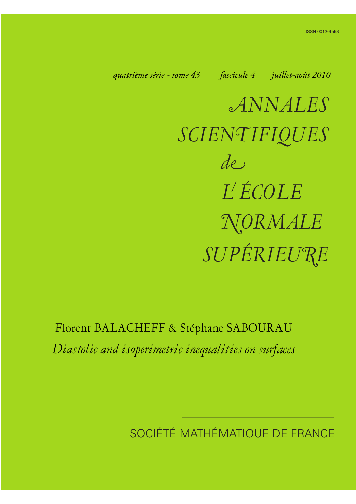*quatrième série - tome 43 fascicule 4 juillet-août 2010*

*ANNALES SCIENTIFIQUES SUPÉRIEURE de L ÉCOLE NORMALE*

Florent BALACHEFF & Stéphane SABOURAU *Diastolic and isoperimetric inequalities on surfaces*

SOCIÉTÉ MATHÉMATIQUE DE FRANCE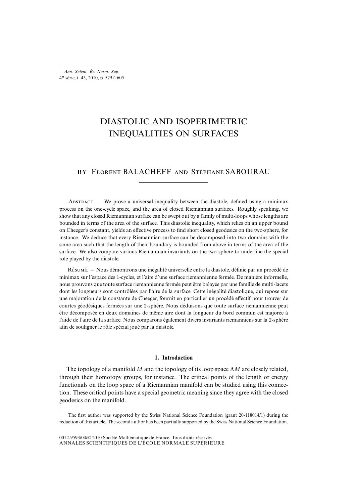# DIASTOLIC AND ISOPERIMETRIC INEQUALITIES ON SURFACES

# BY FLORENT BALACHEFF AND STÉPHANE SABOURAU

ABSTRACT. – We prove a universal inequality between the diastole, defined using a minimax process on the one-cycle space, and the area of closed Riemannian surfaces. Roughly speaking, we show that any closed Riemannian surface can be swept out by a family of multi-loops whose lengths are bounded in terms of the area of the surface. This diastolic inequality, which relies on an upper bound on Cheeger's constant, yields an effective process to find short closed geodesics on the two-sphere, for instance. We deduce that every Riemannian surface can be decomposed into two domains with the same area such that the length of their boundary is bounded from above in terms of the area of the surface. We also compare various Riemannian invariants on the two-sphere to underline the special role played by the diastole.

R. – Nous démontrons une inégalité universelle entre la diastole, définie par un procédé de minimax sur l'espace des 1-cycles, et l'aire d'une surface riemannienne fermée. De manière informelle, nous prouvons que toute surface riemannienne fermée peut être balayée par une famille de multi-lacets dont les longueurs sont contrôlées par l'aire de la surface. Cette inégalité diastolique, qui repose sur une majoration de la constante de Cheeger, fournit en particulier un procédé effectif pour trouver de courtes géodésiques fermées sur une 2-sphère. Nous déduisons que toute surface riemannienne peut être décomposée en deux domaines de même aire dont la longueur du bord commun est majorée à l'aide de l'aire de la surface. Nous comparons également divers invariants riemanniens sur la 2-sphère afin de souligner le rôle spécial joué par la diastole.

#### **1. Introduction**

The topology of a manifold M and the topology of its loop space  $\Lambda M$  are closely related, through their homotopy groups, for instance. The critical points of the length or energy functionals on the loop space of a Riemannian manifold can be studied using this connection. These critical points have a special geometric meaning since they agree with the closed geodesics on the manifold.

The first author was supported by the Swiss National Science Foundation (grant 20-118014/1) during the redaction of this article. The second author has been partially supported by the Swiss National Science Foundation.

ANNALES SCIENTIFIQUES DE L'ÉCOLE NORMALE SUPÉRIEURE 0012-9593/04/© 2010 Société Mathématique de France. Tous droits réservés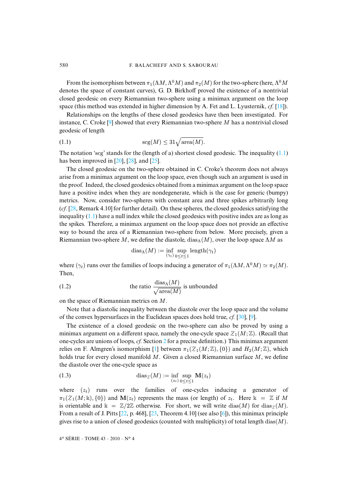From the isomorphism between  $\pi_1(\Lambda M, \Lambda^0 M)$  and  $\pi_2(M)$  for the two-sphere (here,  $\Lambda^0 M$ denotes the space of constant curves), G. D. Birkhoff proved the existence of a nontrivial closed geodesic on every Riemannian two-sphere using a minimax argument on the loop space (this method was extended in higher dimension by A. Fet and L. Lyusternik, *cf.* [\[18\]](#page-26-0)).

Relationships on the lengths of these closed geodesics have then been investigated. For instance, C. Croke  $\lceil 9 \rceil$  showed that every Riemannian two-sphere M has a nontrivial closed geodesic of length

<span id="page-2-0"></span>(1.1) 
$$
\operatorname{scg}(M) \leq 31 \sqrt{\operatorname{area}(M)}.
$$

The notation 'scg' stands for the (length of a) shortest closed geodesic. The inequality  $(1.1)$ has been improved in  $[20]$ ,  $[28]$ , and  $[25]$ .

The closed geodesic on the two-sphere obtained in C. Croke's theorem does not always arise from a minimax argument on the loop space, even though such an argument is used in the proof. Indeed, the closed geodesics obtained from a minimax argument on the loop space have a positive index when they are nondegenerate, which is the case for generic (bumpy) metrics. Now, consider two-spheres with constant area and three spikes arbitrarily long (*cf.* [\[28,](#page-27-1) Remark 4.10] for further detail). On these spheres, the closed geodesics satisfying the inequality  $(1.1)$  have a null index while the closed geodesics with positive index are as long as the spikes. Therefore, a minimax argument on the loop space does not provide an effective way to bound the area of a Riemannian two-sphere from below. More precisely, given a Riemannian two-sphere M, we define the diastole,  $\text{dias}_{\Lambda}(M)$ , over the loop space  $\Lambda M$  as

<span id="page-2-2"></span>
$$
dias_{\Lambda}(M) := \inf_{(\gamma_t)} \sup_{0 \le t \le 1} \text{length}(\gamma_t)
$$

where  $(\gamma_t)$  runs over the families of loops inducing a generator of  $\pi_1(\Lambda M, \Lambda^0 M) \simeq \pi_2(M)$ . Then,

(1.2) the ratio 
$$
\frac{\text{dias}_{\Lambda}(M)}{\sqrt{\text{area}(M)}}
$$
 is unbounded

on the space of Riemannian metrics on M.

Note that a diastolic inequality between the diastole over the loop space and the volume of the convex hypersurfaces in the Euclidean spaces does hold true, *cf.* [\[30\]](#page-27-3), [\[9\]](#page-26-1).

The existence of a closed geodesic on the two-sphere can also be proved by using a minimax argument on a different space, namely the one-cycle space  $\mathcal{Z}_1(M;\mathbb{Z})$ . (Recall that one-cycles are unions of loops, *cf.* Section [2](#page-5-0) for a precise definition.) This minimax argument relies on F. Almgren's isomorphism [\[1\]](#page-26-2) between  $\pi_1(Z_1(M;\mathbb{Z}), \{0\})$  and  $H_2(M;\mathbb{Z})$ , which holds true for every closed manifold  $M$ . Given a closed Riemannian surface  $M$ , we define the diastole over the one-cycle space as

<span id="page-2-1"></span>(1.3) 
$$
\operatorname{diag}(M) := \inf_{(z_t)} \sup_{0 \le t \le 1} \mathbf{M}(z_t)
$$

where  $(z_t)$  runs over the families of one-cycles inducing a generator of  $\pi_1(Z_1(M;\mathbb{k}), \{0\})$  and  $\mathbf{M}(z_t)$  represents the mass (or length) of  $z_t$ . Here  $\mathbb{k} = \mathbb{Z}$  if M is orientable and  $k = \mathbb{Z}/2\mathbb{Z}$  otherwise. For short, we will write dias(M) for dias  $\gamma(M)$ . From a result of J. Pitts [\[22,](#page-27-4) p. 468], [\[23,](#page-27-5) Theorem 4.10] (see also [\[6\]](#page-26-3)), this minimax principle gives rise to a union of closed geodesics (counted with multiplicity) of total length dias( $M$ ).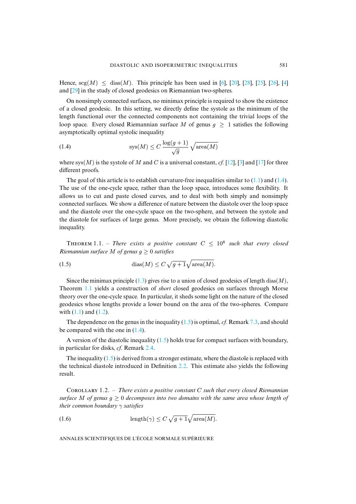Hence,  $\text{seg}(M) \le \text{dias}(M)$ . This principle has been used in [\[6\]](#page-26-3), [\[20\]](#page-27-0), [\[28\]](#page-27-1), [\[25\]](#page-27-2), [\[26\]](#page-27-6), [\[4\]](#page-26-4) and [\[29\]](#page-27-7) in the study of closed geodesics on Riemannian two-spheres.

On nonsimply connected surfaces, no minimax principle is required to show the existence of a closed geodesic. In this setting, we directly define the systole as the minimum of the length functional over the connected components not containing the trivial loops of the loop space. Every closed Riemannian surface M of genus  $q \ge 1$  satisfies the following asymptotically optimal systolic inequality

<span id="page-3-0"></span>(1.4) 
$$
sys(M) \le C \frac{\log(g+1)}{\sqrt{g}} \sqrt{\text{area}(M)}
$$

where sys(M) is the systole of M and C is a universal constant,  $cf.$  [\[12\]](#page-26-5), [\[3\]](#page-26-6) and [\[17\]](#page-26-7) for three different proofs.

The goal of this article is to establish curvature-free inequalities similar to  $(1.1)$  and  $(1.4)$ . The use of the one-cycle space, rather than the loop space, introduces some flexibility. It allows us to cut and paste closed curves, and to deal with both simply and nonsimply connected surfaces. We show a difference of nature between the diastole over the loop space and the diastole over the one-cycle space on the two-sphere, and between the systole and the diastole for surfaces of large genus. More precisely, we obtain the following diastolic inequality.

<span id="page-3-1"></span>**THEOREM** 1.1. – *There exists a positive constant*  $C < 10<sup>8</sup>$  *such that every closed Riemannian surface M of genus*  $q \geq 0$  *satisfies* 

<span id="page-3-2"></span>(1.5) 
$$
\text{dias}(M) \le C \sqrt{g+1} \sqrt{\text{area}(M)}.
$$

Since the minimax principle  $(1.3)$  gives rise to a union of closed geodesics of length dias(M), Theorem [1.1](#page-3-1) yields a construction of *short* closed geodesics on surfaces through Morse theory over the one-cycle space. In particular, it sheds some light on the nature of the closed geodesics whose lengths provide a lower bound on the area of the two-spheres. Compare with  $(1.1)$  and  $(1.2)$ .

The dependence on the genus in the inequality [\(1.5\)](#page-3-2) is optimal, *cf.* Remark [7.3,](#page-19-0) and should be compared with the one in  $(1.4)$ .

A version of the diastolic inequality  $(1.5)$  holds true for compact surfaces with boundary, in particular for disks, *cf.* Remark [2.4.](#page-6-0)

The inequality  $(1.5)$  is derived from a stronger estimate, where the diastole is replaced with the technical diastole introduced in Definition [2.2.](#page-6-1) This estimate also yields the following result.

Cʀʟʟʀʏ 1.2. – *There exists a positive constant* C *such that every closed Riemannian surface* M *of genus*  $g \geq 0$  *decomposes into two domains with the same area whose length of their common boundary* γ *satisfies*

(1.6) 
$$
\operatorname{length}(\gamma) \leq C \sqrt{g+1} \sqrt{\operatorname{area}(M)}.
$$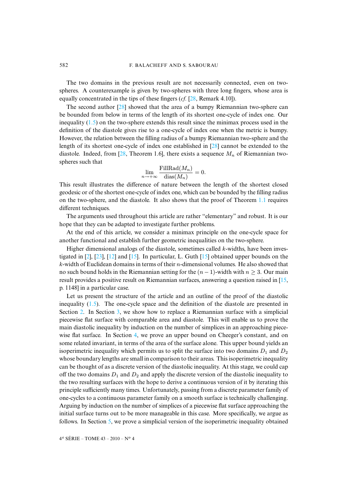The two domains in the previous result are not necessarily connected, even on twospheres. A counterexample is given by two-spheres with three long fingers, whose area is equally concentrated in the tips of these fingers (*cf.* [\[28,](#page-27-1) Remark 4.10]).

The second author [\[28\]](#page-27-1) showed that the area of a bumpy Riemannian two-sphere can be bounded from below in terms of the length of its shortest one-cycle of index one. Our inequality  $(1.5)$  on the two-sphere extends this result since the minimax process used in the definition of the diastole gives rise to a one-cycle of index one when the metric is bumpy. However, the relation between the filling radius of a bumpy Riemannian two-sphere and the length of its shortest one-cycle of index one established in [\[28\]](#page-27-1) cannot be extended to the diastole. Indeed, from [\[28,](#page-27-1) Theorem 1.6], there exists a sequence  $M_n$  of Riemannian twospheres such that

$$
\lim_{n \to +\infty} \frac{\text{FillRad}(M_n)}{\text{dias}(M_n)} = 0.
$$

This result illustrates the difference of nature between the length of the shortest closed geodesic or of the shortest one-cycle of index one, which can be bounded by the filling radius on the two-sphere, and the diastole. It also shows that the proof of Theorem [1.1](#page-3-1) requires different techniques.

The arguments used throughout this article are rather "elementary" and robust. It is our hope that they can be adapted to investigate further problems.

At the end of this article, we consider a minimax principle on the one-cycle space for another functional and establish further geometric inequalities on the two-sphere.

Higher dimensional analogs of the diastole, sometimes called k-widths, have been inves-tigated in [\[2\]](#page-26-8), [\[23\]](#page-27-5), [\[12\]](#page-26-5) and [\[15\]](#page-26-9). In particular, L. Guth [15] obtained upper bounds on the  $k$ -width of Euclidean domains in terms of their  $n$ -dimensional volumes. He also showed that no such bound holds in the Riemannian setting for the  $(n - 1)$ -width with  $n > 3$ . Our main result provides a positive result on Riemannian surfaces, answering a question raised in [\[15,](#page-26-9) p. 1148] in a particular case.

Let us present the structure of the article and an outline of the proof of the diastolic inequality  $(1.5)$ . The one-cycle space and the definition of the diastole are presented in Section [2.](#page-5-0) In Section [3,](#page-7-0) we show how to replace a Riemannian surface with a simplicial piecewise flat surface with comparable area and diastole. This will enable us to prove the main diastolic inequality by induction on the number of simplices in an approaching piecewise flat surface. In Section [4,](#page-10-0) we prove an upper bound on Cheeger's constant, and on some related invariant, in terms of the area of the surface alone. This upper bound yields an isoperimetric inequality which permits us to split the surface into two domains  $D_1$  and  $D_2$ whose boundary lengths are small in comparison to their areas. This isoperimetric inequality can be thought of as a discrete version of the diastolic inequality. At this stage, we could cap off the two domains  $D_1$  and  $D_2$  and apply the discrete version of the diastolic inequality to the two resulting surfaces with the hope to derive a continuous version of it by iterating this principle sufficiently many times. Unfortunately, passing from a discrete parameter family of one-cycles to a continuous parameter family on a smooth surface is technically challenging. Arguing by induction on the number of simplices of a piecewise flat surface approaching the initial surface turns out to be more manageable in this case. More specifically, we argue as follows. In Section [5,](#page-12-0) we prove a simplicial version of the isoperimetric inequality obtained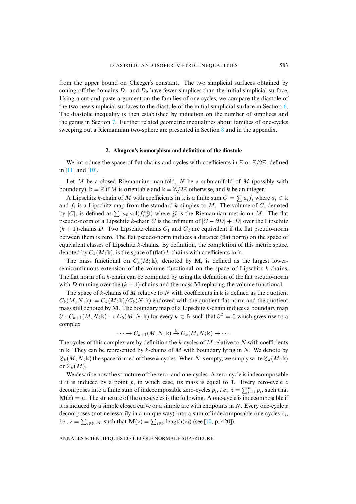from the upper bound on Cheeger's constant. The two simplicial surfaces obtained by coning off the domains  $D_1$  and  $D_2$  have fewer simplices than the initial simplicial surface. Using a cut-and-paste argument on the families of one-cycles, we compare the diastole of the two new simplicial surfaces to the diastole of the initial simplicial surface in Section [6.](#page-15-0) The diastolic inequality is then established by induction on the number of simplices and the genus in Section [7.](#page-16-0) Further related geometric inequalities about families of one-cycles sweeping out a Riemannian two-sphere are presented in Section [8](#page-19-1) and in the appendix.

# **2. Almgren's isomorphism and definition of the diastole**

<span id="page-5-0"></span>We introduce the space of flat chains and cycles with coefficients in  $\mathbb{Z}$  or  $\mathbb{Z}/2\mathbb{Z}$ , defined in [\[11\]](#page-26-10) and [\[10\]](#page-26-11).

Let M be a closed Riemannian manifold, N be a submanifold of M (possibly with boundary),  $\mathbb{k} = \mathbb{Z}$  if M is orientable and  $\mathbb{k} = \mathbb{Z}/2\mathbb{Z}$  otherwise, and k be an integer.

A Lipschitz k-chain of M with coefficients in k is a finite sum  $C = \sum a_i f_i$  where  $a_i \in \mathbb{k}$ and  $f_i$  is a Lipschitz map from the standard k-simplex to M. The volume of C, denoted by |C|, is defined as  $\sum |a_i| \text{vol}(f_i^* \mathcal{G})$  where  $\mathcal{G}$  is the Riemannian metric on M. The flat pseudo-norm of a Lipschitz k-chain C is the infimum of  $|C - \partial D| + |D|$  over the Lipschitz  $(k + 1)$ -chains D. Two Lipschitz chains  $C_1$  and  $C_2$  are equivalent if the flat pseudo-norm between them is zero. The flat pseudo-norm induces a distance (flat norm) on the space of equivalent classes of Lipschitz k-chains. By definition, the completion of this metric space, denoted by  $C_k(M; \mathbb{k})$ , is the space of (flat) k-chains with coefficients in k.

The mass functional on  $C_k(M; \mathbb{k})$ , denoted by M, is defined as the largest lowersemicontinuous extension of the volume functional on the space of Lipschitz  $k$ -chains. The flat norm of a  $k$ -chain can be computed by using the definition of the flat pseudo-norm with D running over the  $(k + 1)$ -chains and the mass M replacing the volume functional.

The space of k-chains of M relative to N with coefficients in  $\Bbbk$  is defined as the quotient  $C_k(M,N;\mathbb{k}) := C_k(M;\mathbb{k})/C_k(N;\mathbb{k})$  endowed with the quotient flat norm and the quotient mass still denoted by M. The boundary map of a Lipschitz k-chain induces a boundary map  $\partial: C_{k+1}(M,N;\mathbb{k}) \to C_k(M,N;\mathbb{k})$  for every  $k \in \mathbb{N}$  such that  $\partial^2 = 0$  which gives rise to a complex

 $\cdots \to C_{k+1}(M,N; \Bbbk) \stackrel{\partial}{\to} C_k(M,N; \Bbbk) \to \cdots$ 

The cycles of this complex are by definition the k-cycles of  $M$  relative to  $N$  with coefficients in k. They can be represented by k-chains of M with boundary lying in N. We denote by  $Z_k(M, N; \mathbb{k})$  the space formed of these k-cycles. When N is empty, we simply write  $Z_k(M; \mathbb{k})$ or  $Z_k(M)$ .

We describe now the structure of the zero- and one-cycles. A zero-cycle is indecomposable if it is induced by a point p, in which case, its mass is equal to 1. Every zero-cycle z decomposes into a finite sum of indecomposable zero-cycles  $p_i$ , *i.e.*,  $z = \sum_{i=1}^n p_i$ , such that  $M(z) = n$ . The structure of the one-cycles is the following. A one-cycle is indecomposable if it is induced by a simple closed curve or a simple arc with endpoints in  $N$ . Every one-cycle z decomposes (not necessarily in a unique way) into a sum of indecomposable one-cycles  $z_i$ , *i.e.*,  $z = \sum_{i \in \mathbb{N}} z_i$ , such that  $\mathbf{M}(z) = \sum_{i \in \mathbb{N}} \text{length}(z_i)$  (see [\[10,](#page-26-11) p. 420]).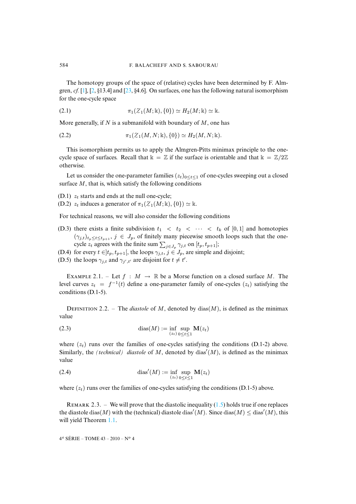The homotopy groups of the space of (relative) cycles have been determined by F. Almgren,  $cf.$  [\[1\]](#page-26-2), [\[2,](#page-26-8) §13.4] and [\[23,](#page-27-5) §4.6]. On surfaces, one has the following natural isomorphism for the one-cycle space

(2.1) 
$$
\pi_1(\mathcal{Z}_1(M; \mathbb{k}), \{0\}) \simeq H_2(M; \mathbb{k}) \simeq \mathbb{k}.
$$

More generally, if N is a submanifold with boundary of  $M$ , one has

<span id="page-6-2"></span>(2.2) 
$$
\pi_1(\mathcal{Z}_1(M, N; \mathbb{k}), \{0\}) \simeq H_2(M, N; \mathbb{k}).
$$

This isomorphism permits us to apply the Almgren-Pitts minimax principle to the onecycle space of surfaces. Recall that  $k = \mathbb{Z}$  if the surface is orientable and that  $k = \mathbb{Z}/2\mathbb{Z}$ otherwise.

Let us consider the one-parameter families  $(z_t)_{0 \le t \le 1}$  of one-cycles sweeping out a closed surface  $M$ , that is, which satisfy the following conditions

(D.1)  $z_t$  starts and ends at the null one-cycle;

(D.2)  $z_t$  induces a generator of  $\pi_1(\mathcal{Z}_1(M;\mathbb{k}), \{0\}) \simeq \mathbb{k}$ .

For technical reasons, we will also consider the following conditions

- (D.3) there exists a finite subdivision  $t_1 < t_2 < \cdots < t_k$  of [0, 1] and homotopies  $(\gamma_{j,t})_{t_p \le t \le t_{p+1}}, j \in J_p$ , of finitely many piecewise smooth loops such that the onecycle  $z_t$  agrees with the finite sum  $\sum_{j\in J_p} \gamma_{j,t}$  on  $[t_p, t_{p+1}]$ ;
- (D.4) for every  $t \in ]t_p, t_{p+1}[$ , the loops  $\gamma_{j,t}, j \in J_p$ , are simple and disjoint;
- (D.5) the loops  $\gamma_{j,t}$  and  $\gamma_{j',t'}$  are disjoint for  $t \neq t'$ .

EXAMPLE 2.1. – Let  $f : M \to \mathbb{R}$  be a Morse function on a closed surface M. The level curves  $z_t = f^{-1}(t)$  define a one-parameter family of one-cycles  $(z_t)$  satisfying the conditions (D.1-5).

<span id="page-6-1"></span>DEFINITION 2.2. – The *diastole* of M, denoted by  $\text{dias}(M)$ , is defined as the minimax value

(2.3) 
$$
\operatorname{dias}(M) := \inf_{(z_t)} \sup_{0 \le t \le 1} \mathbf{M}(z_t)
$$

where  $(z_t)$  runs over the families of one-cycles satisfying the conditions (D.1-2) above. Similarly, the *(technical)* diastole of M, denoted by dias' $(M)$ , is defined as the minimax value

(2.4) 
$$
\operatorname{dias}'(M) := \inf_{(z_t)} \sup_{0 \le t \le 1} \mathbf{M}(z_t)
$$

where  $(z_t)$  runs over the families of one-cycles satisfying the conditions (D.1-5) above.

<span id="page-6-0"></span>REMARK 2.3. – We will prove that the diastolic inequality  $(1.5)$  holds true if one replaces the diastole  $\text{dias}(M)$  with the (technical) diastole  $\text{dias}'(M)$ . Since  $\text{dias}(M) \leq \text{dias}'(M)$ , this will yield Theorem [1.1.](#page-3-1)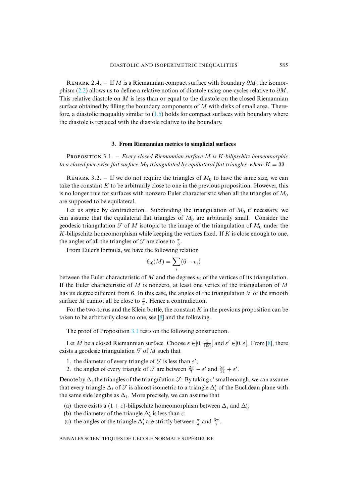REMARK 2.4. – If M is a Riemannian compact surface with boundary  $\partial M$ , the isomor-phism [\(2.2\)](#page-6-2) allows us to define a relative notion of diastole using one-cycles relative to  $\partial M$ . This relative diastole on  $M$  is less than or equal to the diastole on the closed Riemannian surface obtained by filling the boundary components of  $M$  with disks of small area. Therefore, a diastolic inequality similar to  $(1.5)$  holds for compact surfaces with boundary where the diastole is replaced with the diastole relative to the boundary.

# **3. From Riemannian metrics to simplicial surfaces**

<span id="page-7-1"></span><span id="page-7-0"></span>PROPOSITION 3.1. – *Every closed Riemannian surface M is K-bilipschitz homeomorphic to a closed piecewise flat surface*  $M_0$  *triangulated by equilateral flat triangles, where*  $K = 33$ *.* 

REMARK 3.2. – If we do not require the triangles of  $M_0$  to have the same size, we can take the constant  $K$  to be arbitrarily close to one in the previous proposition. However, this is no longer true for surfaces with nonzero Euler characteristic when all the triangles of  $M_0$ are supposed to be equilateral.

Let us argue by contradiction. Subdividing the triangulation of  $M_0$  if necessary, we can assume that the equilateral flat triangles of  $M_0$  are arbitrarily small. Consider the geodesic triangulation  $\mathcal T$  of M isotopic to the image of the triangulation of  $M_0$  under the  $K$ -bilipschitz homeomorphism while keeping the vertices fixed. If  $K$  is close enough to one, the angles of all the triangles of  $\mathcal T$  are close to  $\frac{\pi}{3}$ .

From Euler's formula, we have the following relation

$$
6\chi(M) = \sum_i (6 - v_i)
$$

between the Euler characteristic of M and the degrees  $v_i$  of the vertices of its triangulation. If the Euler characteristic of  $M$  is nonzero, at least one vertex of the triangulation of  $M$ has its degree different from 6. In this case, the angles of the triangulation  $\mathcal T$  of the smooth surface M cannot all be close to  $\frac{\pi}{3}$ . Hence a contradiction.

For the two-torus and the Klein bottle, the constant  $K$  in the previous proposition can be taken to be arbitrarily close to one, see [\[8\]](#page-26-12) and the following.

The proof of Proposition [3.1](#page-7-1) rests on the following construction.

Let M be a closed Riemannian surface. Choose  $\varepsilon \in ]0, \frac{1}{100}[$  and  $\varepsilon' \in ]0, \varepsilon[$ . From [\[8\]](#page-26-12), there exists a geodesic triangulation  $\mathcal T$  of M such that

- 1. the diameter of every triangle of  $\mathcal T$  is less than  $\varepsilon'$ ;
- 2. the angles of every triangle of  $\mathcal{T}$  are between  $\frac{2\pi}{7} \varepsilon'$  and  $\frac{5\pi}{14} + \varepsilon'$ .

Denote by  $\Delta_i$  the triangles of the triangulation  $\mathcal{T}$ . By taking  $\varepsilon'$  small enough, we can assume that every triangle  $\Delta_i$  of  $\mathcal T$  is almost isometric to a triangle  $\Delta'_i$  of the Euclidean plane with the same side lengths as  $\Delta_i$ . More precisely, we can assume that

- (a) there exists a  $(1 + \varepsilon)$ -bilipschitz homeomorphism between  $\Delta_i$  and  $\Delta'_i$ ;
- (b) the diameter of the triangle  $\Delta_i$  is less than  $\varepsilon$ ;
- (c) the angles of the triangle  $\Delta_i$  are strictly between  $\frac{\pi}{4}$  and  $\frac{3\pi}{7}$ .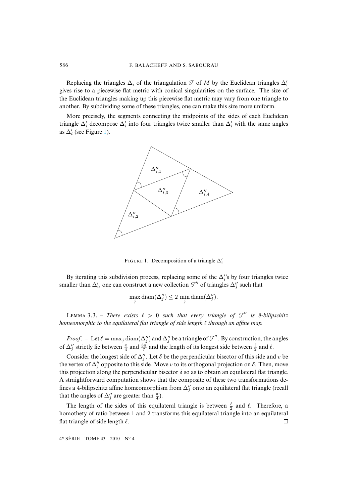# 586 F. BALACHEFF AND S. SABOURAU

Replacing the triangles  $\Delta_i$  of the triangulation  $\mathcal T$  of  $M$  by the Euclidean triangles  $\Delta_i'$ gives rise to a piecewise flat metric with conical singularities on the surface. The size of the Euclidean triangles making up this piecewise flat metric may vary from one triangle to another. By subdividing some of these triangles, one can make this size more uniform.

More precisely, the segments connecting the midpoints of the sides of each Euclidean triangle  $\Delta'_i$  decompose  $\Delta'_i$  into four triangles twice smaller than  $\Delta'_i$  with the same angles as  $\Delta_i'$  (see Figure [1\)](#page-8-0).



<span id="page-8-0"></span>FIGURE 1. Decomposition of a triangle  $\Delta_i'$ 

By iterating this subdivision process, replacing some of the  $\Delta_i$ 's by four triangles twice smaller than  $\Delta'_i$ , one can construct a new collection  $\mathcal{T}''$  of triangles  $\Delta''_j$  such that

$$
\max_{j} \text{diam}(\Delta_j'') \le 2 \min_{j} \text{diam}(\Delta_j'').
$$

<span id="page-8-1"></span>LEMMA 3.3. – *There exists*  $\ell > 0$  *such that every triangle of*  $\mathcal{T}''$  *is* 8-bilipschitz *homeomorphic to the equilateral flat triangle of side length*  $\ell$  *through an affine map.* 

*Proof.* – Let  $\ell = \max_j \text{diam}(\Delta_j'')$  and  $\Delta_j''$  be a triangle of  $\mathcal{T}''$ . By construction, the angles of  $\Delta''_j$  strictly lie between  $\frac{\pi}{4}$  and  $\frac{3\pi}{7}$  and the length of its longest side between  $\frac{\ell}{2}$  and  $\ell$ .

Consider the longest side of  $\Delta_j^{\prime\prime}$ . Let  $\delta$  be the perpendicular bisector of this side and v be the vertex of  $\Delta''_j$  opposite to this side. Move v to its orthogonal projection on  $\delta$ . Then, move this projection along the perpendicular bisector  $\delta$  so as to obtain an equilateral flat triangle. A straightforward computation shows that the composite of these two transformations defines a 4-bilipschitz affine homeomorphism from  $\Delta''_j$  onto an equilateral flat triangle (recall that the angles of  $\Delta_j''$  are greater than  $\frac{\pi}{4}$ ).

The length of the sides of this equilateral triangle is between  $\frac{\ell}{2}$  and  $\ell$ . Therefore, a homothety of ratio between 1 and 2 transforms this equilateral triangle into an equilateral flat triangle of side length  $\ell$ .  $\Box$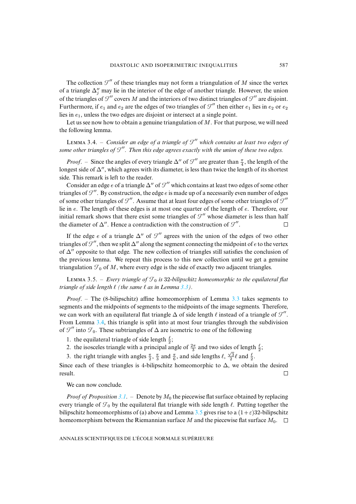The collection  $\mathcal{I}''$  of these triangles may not form a triangulation of M since the vertex of a triangle  $\Delta_j''$  may lie in the interior of the edge of another triangle. However, the union of the triangles of  $\mathcal{T}''$  covers M and the interiors of two distinct triangles of  $\mathcal{T}''$  are disjoint. Furthermore, if  $e_1$  and  $e_2$  are the edges of two triangles of  $\mathcal{T}''$  then either  $e_1$  lies in  $e_2$  or  $e_2$ lies in  $e_1$ , unless the two edges are disjoint or intersect at a single point.

Let us see now how to obtain a genuine triangulation of  $M$ . For that purpose, we will need the following lemma.

<span id="page-9-0"></span>LEMMA 3.4. – *Consider an edge of a triangle of*  $\mathcal{T}''$  which contains at least two edges of *some other triangles of*  $\mathcal{T}'$ . Then this edge agrees exactly with the union of these two edges.

*Proof.* – Since the angles of every triangle  $\Delta''$  of  $\mathcal{T}''$  are greater than  $\frac{\pi}{4}$ , the length of the longest side of  $\Delta''$ , which agrees with its diameter, is less than twice the length of its shortest side. This remark is left to the reader.

Consider an edge e of a triangle  $\Delta''$  of  $\mathcal{T}''$  which contains at least two edges of some other triangles of  $\mathcal{F}''$ . By construction, the edge e is made up of a necessarily even number of edges of some other triangles of  $\mathcal{T}''$ . Assume that at least four edges of some other triangles of  $\mathcal{T}''$ lie in e. The length of these edges is at most one quarter of the length of e. Therefore, our initial remark shows that there exist some triangles of  $\mathcal{T}''$  whose diameter is less than half the diameter of  $\Delta''$ . Hence a contradiction with the construction of  $\mathcal{T}''$ .  $\Box$ 

If the edge e of a triangle  $\Delta''$  of  $\mathcal{T}''$  agrees with the union of the edges of two other triangles of  $\mathcal{F}''$ , then we split  $\Delta''$  along the segment connecting the midpoint of e to the vertex of  $\Delta''$  opposite to that edge. The new collection of triangles still satisfies the conclusion of the previous lemma. We repeat this process to this new collection until we get a genuine triangulation  $\mathcal{T}_0$  of M, where every edge is the side of exactly two adjacent triangles.

<span id="page-9-1"></span>LEMMA 3.5. – *Every triangle of*  $\mathcal{T}_0$  *is* 32-bilipschitz homeomorphic to the equilateral flat *triangle of side length*  $\ell$  *(the same*  $\ell$  *as in Lemma [3.3\)](#page-8-1)*.

*Proof*. – The (8-bilipschitz) affine homeomorphism of Lemma [3.3](#page-8-1) takes segments to segments and the midpoints of segments to the midpoints of the image segments. Therefore, we can work with an equilateral flat triangle  $\Delta$  of side length  $\ell$  instead of a triangle of  $\mathcal{T}''$ . From Lemma [3.4,](#page-9-0) this triangle is split into at most four triangles through the subdivision of  $\mathcal{T}''$  into  $\mathcal{T}_0$ . These subtriangles of  $\Delta$  are isometric to one of the following

- 1. the equilateral triangle of side length  $\frac{\ell}{2}$ ;
- 2. the isosceles triangle with a principal angle of  $\frac{2\pi}{3}$  and two sides of length  $\frac{\ell}{2}$ ;
- 3. the right triangle with angles  $\frac{\pi}{2}$ ,  $\frac{\pi}{3}$  and  $\frac{\pi}{6}$ , and side lengths  $\ell$ ,  $\frac{\sqrt{3}}{2}\ell$  and  $\frac{\ell}{2}$ .

Since each of these triangles is 4-bilipschitz homeomorphic to  $\Delta$ , we obtain the desired result.  $\Box$ 

We can now conclude.

<span id="page-9-2"></span>*Proof of Proposition* [3.1](#page-7-1). – Denote by  $M_0$  the piecewise flat surface obtained by replacing every triangle of  $\mathcal{T}_0$  by the equilateral flat triangle with side length  $\ell$ . Putting together the bilipschitz homeomorphisms of (a) above and Lemma [3.5](#page-9-1) gives rise to a  $(1+\varepsilon)$ 32-bilipschitz homeomorphism between the Riemannian surface M and the piecewise flat surface  $M_0$ .  $\Box$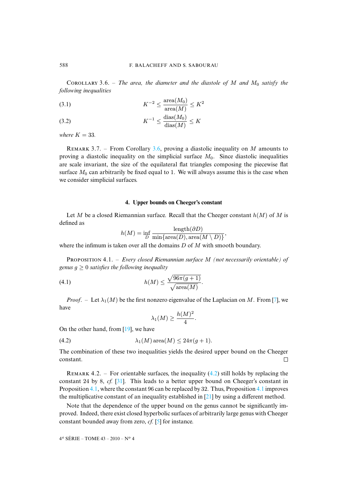COROLLARY 3.6. – *The area, the diameter and the diastole of* M *and*  $M_0$  *satisfy the following inequalities*

$$
(3.1)\qquad \qquad K^{-2} \le \frac{\text{area}(M_0)}{\text{area}(M)} \le K^2
$$

$$
(3.2) \t K^{-1} \le \frac{\text{dias}(M_0)}{\text{dias}(M)} \le K
$$

*where*  $K = 33$ *.* 

REMARK 3.7. – From Corollary [3.6,](#page-9-2) proving a diastolic inequality on M amounts to proving a diastolic inequality on the simplicial surface  $M_0$ . Since diastolic inequalities are scale invariant, the size of the equilateral flat triangles composing the piecewise flat surface  $M_0$  can arbitrarily be fixed equal to 1. We will always assume this is the case when we consider simplicial surfaces.

# **4. Upper bounds on Cheeger's constant**

<span id="page-10-0"></span>Let M be a closed Riemannian surface. Recall that the Cheeger constant  $h(M)$  of M is defined as

$$
h(M) = \inf_{D} \frac{\text{length}(\partial D)}{\min{\text{area}(D), \text{area}(M \setminus D)}}
$$

<span id="page-10-2"></span>where the infimum is taken over all the domains  $D$  of  $M$  with smooth boundary.

PROPOSITION 4.1. – *Every closed Riemannian surface M (not necessarily orientable) of genus*  $g \geq 0$  *satisfies the following inequality* 

(4.1) 
$$
h(M) \leq \frac{\sqrt{96\pi (g+1)}}{\sqrt{\text{area}(M)}}.
$$

*Proof.* – Let  $\lambda_1(M)$  be the first nonzero eigenvalue of the Laplacian on M. From [\[7\]](#page-26-13), we have

<span id="page-10-3"></span><span id="page-10-1"></span>
$$
\lambda_1(M) \ge \frac{h(M)^2}{4}.
$$

On the other hand, from [\[19\]](#page-26-14), we have

(4.2) 
$$
\lambda_1(M) \operatorname{area}(M) \leq 24\pi(g+1).
$$

The combination of these two inequalities yields the desired upper bound on the Cheeger constant.  $\Box$ 

REMARK 4.2. – For orientable surfaces, the inequality  $(4.2)$  still holds by replacing the constant 24 by 8, *cf.* [\[31\]](#page-27-8). This leads to a better upper bound on Cheeger's constant in Proposition [4.1,](#page-10-2) where the constant 96 can be replaced by 32. Thus, Proposition [4.1](#page-10-2) improves the multiplicative constant of an inequality established in [\[21\]](#page-27-9) by using a different method.

Note that the dependence of the upper bound on the genus cannot be significantly improved. Indeed, there exist closed hyperbolic surfaces of arbitrarily large genus with Cheeger constant bounded away from zero, *cf.* [\[5\]](#page-26-15) for instance.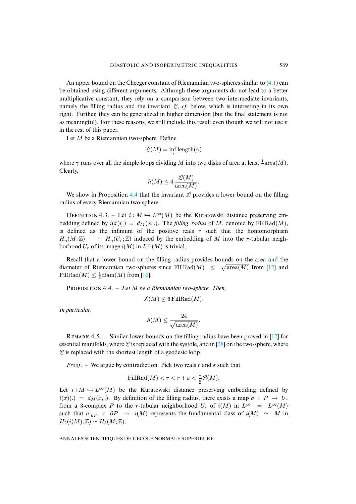An upper bound on the Cheeger constant of Riemannian two-spheres similar to [\(4.1\)](#page-10-3) can be obtained using different arguments. Although these arguments do not lead to a better multiplicative constant, they rely on a comparison between two intermediate invariants, namely the filling radius and the invariant  $\mathcal{L}$ , *cf.* below, which is interesting in its own right. Further, they can be generalized in higher dimension (but the final statement is not as meaningful). For these reasons, we still include this result even though we will not use it in the rest of this paper.

Let *M* be a Riemannian two-sphere. Define

$$
\mathscr{L}(M) = \inf_{\gamma} \text{length}(\gamma)
$$

where  $\gamma$  runs over all the simple loops dividing M into two disks of area at least  $\frac{1}{4}$ area $(M)$ . Clearly,

$$
h(M) \le 4 \frac{\mathcal{L}(M)}{\operatorname{area}(M)}.
$$

We show in Proposition [4.4](#page-11-0) that the invariant  $\mathcal L$  provides a lower bound on the filling radius of every Riemannian two-sphere.

<span id="page-11-1"></span>DEFINITION 4.3. – Let  $i : M \hookrightarrow L^{\infty}(M)$  be the Kuratowski distance preserving embedding defined by  $i(x)(.) = d<sub>M</sub>(x,.)$ . The *filling radius* of M, denoted by FillRad(M), is defined as the infimum of the positive reals  $r$  such that the homomorphism  $H_n(M;\mathbb{Z}) \longrightarrow H_n(U_r;\mathbb{Z})$  induced by the embedding of M into the r-tubular neighborhood  $U_r$  of its image  $i(M)$  in  $L^{\infty}(M)$  is trivial.

Recall that a lower bound on the filling radius provides bounds on the area and the diameter of Riemannian two-spheres since FillRad(M)  $\leq \sqrt{\text{area}(M)}$  from [\[12\]](#page-26-5) and FillRad $(M) \leq \frac{1}{3}$ diam $(M)$  from [\[16\]](#page-26-16).

<span id="page-11-0"></span>PROPOSITION 4.4. – Let M be a Riemannian two-sphere. Then,

$$
\mathcal{L}(M) \leq 6 \operatorname{FillRad}(M).
$$

*In particular,*

$$
h(M) \le \frac{24}{\sqrt{\text{area}(M)}}
$$

.

REMARK 4.5. – Similar lower bounds on the filling radius have been proved in  $[12]$  for essential manifolds, where  $\mathcal L$  is replaced with the systole, and in [\[28\]](#page-27-1) on the two-sphere, where  $\mathcal{L}$  is replaced with the shortest length of a geodesic loop.

*Proof.* – We argue by contradiction. Pick two reals r and  $\varepsilon$  such that

FillRad
$$
(M)
$$
 <  $r < r + \varepsilon < \frac{1}{6}\mathcal{L}(M)$ .

Let  $i : M \hookrightarrow L^{\infty}(M)$  be the Kuratowski distance preserving embedding defined by  $i(x)(.) = d<sub>M</sub>(x,.)$ . By definition of the filling radius, there exists a map  $\sigma : P \to U_r$ from a 3-complex P to the r-tubular neighborhood  $U_r$  of  $i(M)$  in  $L^{\infty} = L^{\infty}(M)$ such that  $\sigma_{|\partial P}$  :  $\partial P \to i(M)$  represents the fundamental class of  $i(M) \simeq M$  in  $H_2(i(M); \mathbb{Z}) \simeq H_2(M; \mathbb{Z}).$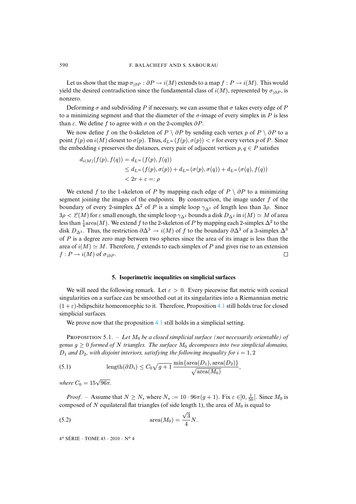Let us show that the map  $\sigma_{|\partial P} : \partial P \to i(M)$  extends to a map  $f : P \to i(M)$ . This would yield the desired contradiction since the fundamental class of  $i(M)$ , represented by  $\sigma_{|\partial P}$ , is nonzero.

Deforming  $\sigma$  and subdividing P if necessary, we can assume that  $\sigma$  takes every edge of P to a minimizing segment and that the diameter of the  $\sigma$ -image of every simplex in P is less than  $\varepsilon$ . We define f to agree with  $\sigma$  on the 2-complex  $\partial P$ .

We now define f on the 0-skeleton of P \  $\partial P$  by sending each vertex p of P \  $\partial P$  to a point  $f(p)$  on  $i(M)$  closest to  $\sigma(p)$ . Thus,  $d_{L^{\infty}}(f(p), \sigma(p)) < r$  for every vertex p of P. Since the embedding i preserves the distances, every pair of adjacent vertices  $p, q \in P$  satisfies

$$
d_{i(M)}(f(p), f(q)) = d_{L^{\infty}}(f(p), f(q))
$$
  
\n
$$
\leq d_{L^{\infty}}(f(p), \sigma(p)) + d_{L^{\infty}}(\sigma(p), \sigma(q)) + d_{L^{\infty}}(\sigma(q), f(q))
$$
  
\n
$$
< 2r + \varepsilon =: \rho
$$

We extend f to the 1-skeleton of P by mapping each edge of  $P \setminus \partial P$  to a minimizing segment joining the images of the endpoints. By construction, the image under  $f$  of the boundary of every 2-simplex  $\Delta^2$  of P is a simple loop  $\gamma_{\Delta^2}$  of length less than 3 $\rho$ . Since  $3\rho < \mathcal{L}(M)$  for  $\varepsilon$  small enough, the simple loop  $\gamma_{\Delta^2}$  bounds a disk  $D_{\Delta^2}$  in  $i(M) \simeq M$  of area less than  $\frac{1}{4}$  area $(M)$ . We extend  $f$  to the 2-skeleton of  $P$  by mapping each 2-simplex  $\Delta^2$  to the disk  $D_{\Delta^2}$ . Thus, the restriction  $\partial \Delta^3 \to i(M)$  of f to the boundary  $\partial \Delta^3$  of a 3-simplex  $\Delta^3$ of  $P$  is a degree zero map between two spheres since the area of its image is less than the area of  $i(M) \simeq M$ . Therefore, f extends to each simplex of P and gives rise to an extension  $f: P \to i(M)$  of  $\sigma_{\text{LAP}}$ .  $f: P \to i(M)$  of  $\sigma_{|\partial P}$ .

# **5. Isoperimetric inequalities on simplicial surfaces**

<span id="page-12-0"></span>We will need the following remark. Let  $\varepsilon > 0$ . Every piecewise flat metric with conical singularities on a surface can be smoothed out at its singularities into a Riemannian metric  $(1 + \varepsilon)$ -bilipschitz homeomorphic to it. Therefore, Proposition [4.1](#page-10-2) still holds true for closed simplicial surfaces.

We prove now that the proposition [4.1](#page-10-2) still holds in a simplicial setting.

<span id="page-12-3"></span>**PROPOSITION 5.1.** – Let  $M_0$  be a closed simplicial surface (not necessarily orientable) of *genus*  $g \geq 0$  *formed of* N *triangles. The surface*  $M_0$  *decomposes into two simplicial domains,*  $D_1$  and  $D_2$ , with disjoint interiors, satisfying the following inequality for  $i = 1, 2$ 

<span id="page-12-2"></span>(5.1) 
$$
\operatorname{length}(\partial D_i) \leq C_0 \sqrt{g+1} \, \frac{\min\{\operatorname{area}(D_1), \operatorname{area}(D_2)\}}{\sqrt{\operatorname{area}(M_0)}},
$$

*where*  $C_0 = 15\sqrt{96\pi}$ .

*Proof.* – Assume that  $N \ge N_*$  where  $N_* := 10 \cdot 96\pi (g + 1)$ . Fix  $\varepsilon \in ]0, \frac{1}{50} [$ . Since  $M_0$  is composed of N equilateral flat triangles (of side length 1), the area of  $M_0$  is equal to

<span id="page-12-1"></span>(5.2) 
$$
\operatorname{area}(M_0) = \frac{\sqrt{3}}{4}N.
$$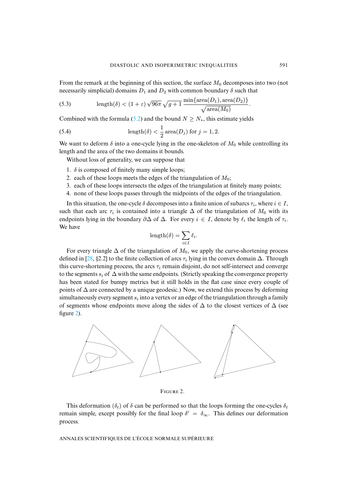From the remark at the beginning of this section, the surface  $M_0$  decomposes into two (not necessarily simplicial) domains  $D_1$  and  $D_2$  with common boundary  $\delta$  such that

<span id="page-13-2"></span>(5.3) 
$$
\operatorname{length}(\delta) < (1+\varepsilon)\sqrt{96\pi}\sqrt{g+1} \frac{\min\{\operatorname{area}(D_1), \operatorname{area}(D_2)\}}{\sqrt{\operatorname{area}(M_0)}}.
$$

Combined with the formula [\(5.2\)](#page-12-1) and the bound  $N \ge N_*$ , this estimate yields

<span id="page-13-1"></span>(5.4) 
$$
\operatorname{length}(\delta) < \frac{1}{2} \operatorname{area}(D_j) \text{ for } j = 1, 2.
$$

We want to deform  $\delta$  into a one-cycle lying in the one-skeleton of  $M_0$  while controlling its length and the area of the two domains it bounds.

Without loss of generality, we can suppose that

- 1.  $\delta$  is composed of finitely many simple loops;
- 2. each of these loops meets the edges of the triangulation of  $M_0$ ;
- 3. each of these loops intersects the edges of the triangulation at finitely many points;
- 4. none of these loops passes through the midpoints of the edges of the triangulation.

In this situation, the one-cycle  $\delta$  decomposes into a finite union of subarcs  $\tau_i$ , where  $i \in I$ , such that each arc  $\tau_i$  is contained into a triangle  $\Delta$  of the triangulation of  $M_0$  with its endpoints lying in the boundary  $\partial \Delta$  of  $\Delta$ . For every  $i \in I$ , denote by  $\ell_i$  the length of  $\tau_i$ . We have

$$
length(\delta) = \sum_{i \in I} \ell_i.
$$

For every triangle  $\Delta$  of the triangulation of  $M_0$ , we apply the curve-shortening process defined in [\[28,](#page-27-1) §2.2] to the finite collection of arcs  $\tau_i$  lying in the convex domain  $\Delta$ . Through this curve-shortening process, the arcs  $\tau_i$  remain disjoint, do not self-intersect and converge to the segments  $s_i$  of  $\Delta$  with the same endpoints. (Strictly speaking the convergence property has been stated for bumpy metrics but it still holds in the flat case since every couple of points of  $\Delta$  are connected by a unique geodesic.) Now, we extend this process by deforming simultaneously every segment  $s_i$  into a vertex or an edge of the triangulation through a family of segments whose endpoints move along the sides of  $\Delta$  to the closest vertices of  $\Delta$  (see figure [2\)](#page-13-0).



<span id="page-13-0"></span>FIGURE 2.

This deformation ( $\delta_t$ ) of  $\delta$  can be performed so that the loops forming the one-cycles  $\delta_t$ remain simple, except possibly for the final loop  $\delta' = \delta_{\infty}$ . This defines our deformation process.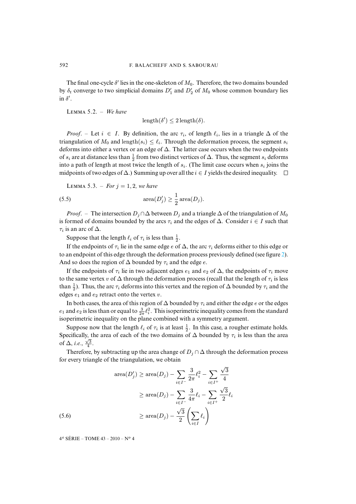The final one-cycle  $\delta'$  lies in the one-skeleton of  $M_0$ . Therefore, the two domains bounded by  $\delta_t$  converge to two simplicial domains  $D'_1$  and  $D'_2$  of  $M_0$  whose common boundary lies in  $\delta'$ .

<span id="page-14-0"></span> $LEMMA 5.2. - We have$ 

 $\text{length}(\delta') \leq 2 \text{ length}(\delta).$ 

*Proof.* – Let  $i \in I$ . By definition, the arc  $\tau_i$ , of length  $\ell_i$ , lies in a triangle  $\Delta$  of the triangulation of  $M_0$  and length $(s_i) \leq \ell_i$ . Through the deformation process, the segment  $s_i$ deforms into either a vertex or an edge of  $\Delta$ . The latter case occurs when the two endpoints of  $s_i$  are at distance less than  $\frac{1}{2}$  from two distinct vertices of  $\Delta$ . Thus, the segment  $s_i$  deforms into a path of length at most twice the length of  $s_i$ . (The limit case occurs when  $s_i$  joins the midpoints of two edges of  $\Delta$ .) Summing up over all the  $i \in I$  yields the desired inequality.  $\square$ 

<span id="page-14-1"></span>**LEMMA 5.3.** – *For*  $j = 1, 2$ *, we have* 

(5.5) 
$$
\operatorname{area}(D'_j) \ge \frac{1}{2}\operatorname{area}(D_j).
$$

*Proof.* – The intersection  $D_i \cap \Delta$  between  $D_i$  and a triangle  $\Delta$  of the triangulation of  $M_0$ is formed of domains bounded by the arcs  $\tau_i$  and the edges of  $\Delta$ . Consider  $i \in I$  such that  $\tau_i$  is an arc of  $\Delta$ .

Suppose that the length  $\ell_i$  of  $\tau_i$  is less than  $\frac{1}{2}$ .

If the endpoints of  $\tau_i$  lie in the same edge e of  $\Delta$ , the arc  $\tau_i$  deforms either to this edge or to an endpoint of this edge through the deformation process previously defined (see figure [2\)](#page-13-0). And so does the region of  $\Delta$  bounded by  $\tau_i$  and the edge e.

If the endpoints of  $\tau_i$  lie in two adjacent edges  $e_1$  and  $e_2$  of  $\Delta$ , the endpoints of  $\tau_i$  move to the same vertex v of  $\Delta$  through the deformation process (recall that the length of  $\tau_i$  is less than  $\frac{1}{2}$ ). Thus, the arc  $\tau_i$  deforms into this vertex and the region of  $\Delta$  bounded by  $\tau_i$  and the edges  $e_1$  and  $e_2$  retract onto the vertex v.

In both cases, the area of this region of  $\Delta$  bounded by  $\tau_i$  and either the edge e or the edges  $e_1$  and  $e_2$  is less than or equal to  $\frac{3}{2\pi}\ell_i^2$ . This isoperimetric inequality comes from the standard isoperimetric inequality on the plane combined with a symmetry argument.

Suppose now that the length  $\ell_i$  of  $\tau_i$  is at least  $\frac{1}{2}$ . In this case, a rougher estimate holds. Specifically, the area of each of the two domains of  $\Delta$  bounded by  $\tau_i$  is less than the area of  $\Delta$ , *i.e.*,  $\frac{\sqrt{3}}{4}$ .

Therefore, by subtracting up the area change of  $D_i \cap \Delta$  through the deformation process for every triangle of the triangulation, we obtain

$$
\text{area}(D'_j) \ge \text{area}(D_j) - \sum_{i \in I^-} \frac{3}{2\pi} \ell_i^2 - \sum_{i \in I^+} \frac{\sqrt{3}}{4}
$$

$$
\ge \text{area}(D_j) - \sum_{i \in I^-} \frac{3}{4\pi} \ell_i - \sum_{i \in I^+} \frac{\sqrt{3}}{2} \ell_i
$$

$$
\ge \text{area}(D_j) - \frac{\sqrt{3}}{2} \left(\sum_{i \in I} \ell_i\right)
$$
(5.6)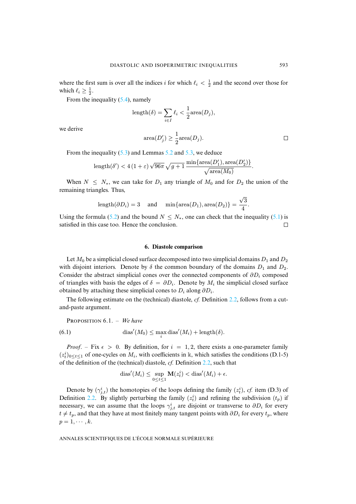where the first sum is over all the indices i for which  $\ell_i < \frac{1}{2}$  and the second over those for which  $\ell_i \geq \frac{1}{2}$ .

From the inequality  $(5.4)$ , namely

$$
length(\delta) = \sum_{i \in I} \ell_i < \frac{1}{2} \text{area}(D_j),
$$

we derive

$$
\operatorname{area}(D'_j) \ge \frac{1}{2}\operatorname{area}(D_j).
$$

From the inequality [\(5.3\)](#page-13-2) and Lemmas [5.2](#page-14-0) and [5.3,](#page-14-1) we deduce

$$
\text{length}(\delta') < 4\left(1+\varepsilon\right)\sqrt{96\pi}\sqrt{g+1}\,\frac{\min\{\text{area}(D_1'),\text{area}(D_2')\}}{\sqrt{\text{area}(M_0)}}.
$$

When  $N \leq N_*$ , we can take for  $D_1$  any triangle of  $M_0$  and for  $D_2$  the union of the remaining triangles. Thus,

$$
\text{length}(\partial D_i)=3 \quad \text{ and } \quad \min\{\text{area}(D_1),\text{area}(D_2)\}=\frac{\sqrt{3}}{4}.
$$

Using the formula [\(5.2\)](#page-12-1) and the bound  $N \le N_*$ , one can check that the inequality [\(5.1\)](#page-12-2) is satisfied in this case too. Hence the conclusion.  $\Box$ 

#### **6. Diastole comparison**

<span id="page-15-0"></span>Let  $M_0$  be a simplicial closed surface decomposed into two simplicial domains  $D_1$  and  $D_2$ with disjoint interiors. Denote by  $\delta$  the common boundary of the domains  $D_1$  and  $D_2$ . Consider the abstract simplicial cones over the connected components of  $\partial D_i$  composed of triangles with basis the edges of  $\delta = \partial D_i$ . Denote by  $M_i$  the simplicial closed surface obtained by attaching these simplicial cones to  $D_i$  along  $\partial D_i$ .

The following estimate on the (technical) diastole, *cf.* Definition [2.2,](#page-6-1) follows from a cutand-paste argument.

<span id="page-15-1"></span>PROPOSITION 6.1. – We have  
\n
$$
(6.1) \qquad \text{diag}'(M_0) \leq \max_i \text{diag}'(M_i) + \text{length}(\delta).
$$

*Proof.* – Fix  $\epsilon > 0$ . By definition, for  $i = 1, 2$ , there exists a one-parameter family  $(z_t^i)_{0 \le t \le 1}$  of one-cycles on  $M_i$ , with coefficients in k, which satisfies the conditions (D.1-5) of the definition of the (technical) diastole, *cf.* Definition [2.2,](#page-6-1) such that

$$
dias'(M_i) \le \sup_{0 \le t \le 1} \mathbf{M}(z_t^i) < dias'(M_i) + \epsilon.
$$

Denote by  $(\gamma_{j,t}^i)$  the homotopies of the loops defining the family  $(z_t^i)$ , *cf.* item (D.3) of Definition [2.2.](#page-6-1) By slightly perturbing the family  $(z_t^i)$  and refining the subdivision  $(t_p)$  if necessary, we can assume that the loops  $\gamma_{j,t}^i$  are disjoint or transverse to  $\partial D_i$  for every  $t \neq t_p$ , and that they have at most finitely many tangent points with  $\partial D_i$  for every  $t_p$ , where  $p=1,\cdots,k.$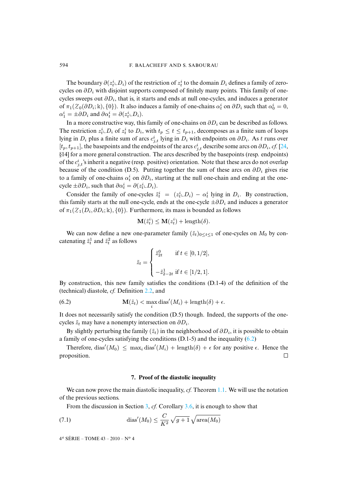The boundary  $\partial(z_t^i \_D_i)$  of the restriction of  $z_t^i$  to the domain  $D_i$  defines a family of zerocycles on  $\partial D_i$  with disjoint supports composed of finitely many points. This family of onecycles sweeps out  $\partial D_i$ , that is, it starts and ends at null one-cycles, and induces a generator of  $\pi_1(\mathcal{Z}_0(\partial D_i; \mathbb{k}), \{0\})$ . It also induces a family of one-chains  $\alpha_t^i$  on  $\partial D_i$  such that  $\alpha_0^i = 0$ ,  $\alpha_1^i = \pm \partial D_i$  and  $\partial \alpha_t^i = \partial (z_t^i \llcorner D_i)$ .

In a more constructive way, this family of one-chains on  $\partial D_i$  can be described as follows. The restriction  $z_t^i \text{\rm L}D_i$  of  $z_t^i$  to  $D_i$ , with  $t_p \le t \le t_{p+1}$ , decomposes as a finite sum of loops lying in  $D_i$  plus a finite sum of arcs  $c_{j,t}^i$  lying in  $D_i$  with endpoints on  $\partial D_i$ . As t runs over  $[t_p, t_{p+1}]$ , the basepoints and the endpoints of the arcs  $c_{j,t}^i$  describe some arcs on  $\partial D_i$ , *cf.* [\[24,](#page-27-10) §14] for a more general construction. The arcs described by the basepoints (resp. endpoints) of the  $c_{j,t}^i$ 's inherit a negative (resp. positive) orientation. Note that these arcs do not overlap because of the condition (D.5). Putting together the sum of these arcs on  $\partial D_i$  gives rise to a family of one-chains  $\alpha_t^i$  on  $\partial D_i$ , starting at the null one-chain and ending at the onecycle  $\pm \partial D_i$ , such that  $\partial \alpha_t^i = \partial (z_t^i \llcorner D_i)$ .

Consider the family of one-cycles  $\tilde{z}_t^i = (z_t^i \_D_i) - \alpha_t^i$  lying in  $D_i$ . By construction, this family starts at the null one-cycle, ends at the one-cycle  $\pm \partial D_i$  and induces a generator of  $\pi_1(\mathcal{Z}_1(D_i, \partial D_i; \mathbb{k}), \{0\})$ . Furthermore, its mass is bounded as follows

$$
\mathbf{M}(\tilde{z}_t^i) \leq \mathbf{M}(z_t^i) + \operatorname{length}(\delta).
$$

We can now define a new one-parameter family  $(\tilde{z}_t)_{0 \le t \le 1}$  of one-cycles on  $M_0$  by concatenating  $\tilde{z}_t^1$  and  $\tilde{z}_t^2$  as follows

<span id="page-16-1"></span>
$$
\tilde{z}_t = \begin{cases} \tilde{z}_{2t}^0 & \text{if } t \in [0, 1/2], \\ \\ -\tilde{z}_{2-2t}^1 & \text{if } t \in [1/2, 1]. \end{cases}
$$

By construction, this new family satisfies the conditions (D.1-4) of the definition of the (technical) diastole, *cf.* Definition [2.2,](#page-6-1) and

(6.2) 
$$
\mathbf{M}(\tilde{z}_t) < \max_i \operatorname{dias}'(M_i) + \operatorname{length}(\delta) + \epsilon.
$$

It does not necessarily satisfy the condition (D.5) though. Indeed, the supports of the onecycles  $\tilde{z}_t$  may have a nonempty intersection on  $\partial D_i$ .

By slightly perturbing the family  $(\tilde{z}_t)$  in the neighborhood of  $\partial D_i$ , it is possible to obtain a family of one-cycles satisfying the conditions  $(D.1-5)$  and the inequality  $(6.2)$ 

Therefore, dias' $(M_0) \leq \max_i \text{dias}'(M_i) + \text{length}(\delta) + \epsilon$  for any positive  $\epsilon$ . Hence the proposition.  $\Box$ 

#### <span id="page-16-2"></span>**7. Proof of the diastolic inequality**

<span id="page-16-0"></span>We can now prove the main diastolic inequality, *cf.* Theorem [1.1.](#page-3-1) We will use the notation of the previous sections.

From the discussion in Section [3,](#page-7-0) *cf.* Corollary [3.6,](#page-9-2) it is enough to show that

(7.1) 
$$
\operatorname{dias}'(M_0) \leq \frac{C}{K^2} \sqrt{g+1} \sqrt{\operatorname{area}(M_0)}
$$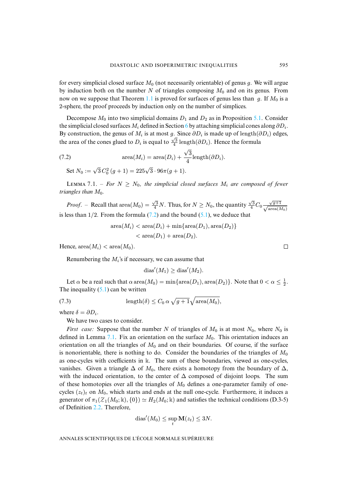for every simplicial closed surface  $M_0$  (not necessarily orientable) of genus g. We will argue by induction both on the number N of triangles composing  $M_0$  and on its genus. From now on we suppose that Theorem [1.1](#page-3-1) is proved for surfaces of genus less than g. If  $M_0$  is a 2-sphere, the proof proceeds by induction only on the number of simplices.

Decompose  $M_0$  into two simplicial domains  $D_1$  and  $D_2$  as in Proposition [5.1.](#page-12-3) Consider the simplicial closed surfaces  $M_i$  defined in Section [6](#page-15-0) by attaching simplicial cones along  $\partial D_i$ . By construction, the genus of  $M_i$  is at most g. Since  $\partial D_i$  is made up of length( $\partial D_i$ ) edges, the area of the cones glued to  $D_i$  is equal to  $\frac{\sqrt{3}}{4}$  length(∂D<sub>i</sub>). Hence the formula

(7.2) 
$$
\operatorname{area}(M_i) = \operatorname{area}(D_i) + \frac{\sqrt{3}}{4} \operatorname{length}(\partial D_i).
$$

<span id="page-17-0"></span>Set  $N_0 := \sqrt{3} C_0^2 (g+1) = 225\sqrt{3} \cdot 96\pi (g+1)$ .

<span id="page-17-1"></span>LEMMA 7.1. – *For*  $N \geq N_0$ , the simplicial closed surfaces  $M_i$  are composed of fewer *triangles than*  $M_0$ *.* 

*Proof.* – Recall that area $(M_0) = \frac{\sqrt{3}}{4}N$ . Thus, for  $N \ge N_0$ , the quantity  $\frac{\sqrt{3}}{4}C_0 \frac{\sqrt{g+1}}{\sqrt{\text{area}(M_0)}}$ is less than  $1/2$ . From the formula  $(7.2)$  and the bound  $(5.1)$ , we deduce that

> $area(M_i) < area(D_i) + min{area(D_1), area(D_2)}$  $\langle \text{area}(D_1) + \text{area}(D_2) \rangle$ .

Hence,  $area(M_i) < area(M_0)$ .

Renumbering the  $M_i$ 's if necessary, we can assume that

<span id="page-17-2"></span>
$$
dias'(M_1) \geq diag'(M_2).
$$

Let  $\alpha$  be a real such that  $\alpha$  area $(M_0) = \min\{\text{area}(D_1), \text{area}(D_2)\}\$ . Note that  $0 < \alpha \leq \frac{1}{2}$ . The inequality  $(5.1)$  can be written

(7.3) 
$$
\operatorname{length}(\delta) \leq C_0 \alpha \sqrt{g+1} \sqrt{\operatorname{area}(M_0)},
$$

where  $\delta = \partial D_i$ .

We have two cases to consider.

*First case:* Suppose that the number N of triangles of  $M_0$  is at most  $N_0$ , where  $N_0$  is defined in Lemma [7.1.](#page-17-1) Fix an orientation on the surface  $M_0$ . This orientation induces an orientation on all the triangles of  $M_0$  and on their boundaries. Of course, if the surface is nonorientable, there is nothing to do. Consider the boundaries of the triangles of  $M_0$ as one-cycles with coefficients in k. The sum of these boundaries, viewed as one-cycles, vanishes. Given a triangle  $\Delta$  of  $M_0$ , there exists a homotopy from the boundary of  $\Delta$ , with the induced orientation, to the center of  $\Delta$  composed of disjoint loops. The sum of these homotopies over all the triangles of  $M_0$  defines a one-parameter family of onecycles  $(z_t)_t$  on  $M_0$ , which starts and ends at the null one-cycle. Furthermore, it induces a generator of  $\pi_1(Z_1(M_0; \mathbb{k}), \{0\}) \simeq H_2(M_0; \mathbb{k})$  and satisfies the technical conditions (D.3-5) of Definition [2.2.](#page-6-1) Therefore,

$$
dias'(M_0) \le \sup_t \mathbf{M}(z_t) \le 3N.
$$

ANNALES SCIENTIFIQUES DE L'ÉCOLE NORMALE SUPÉRIEURE

 $\Box$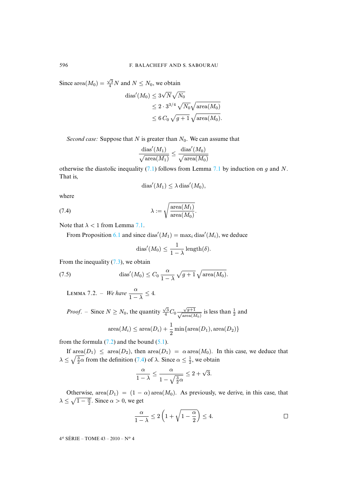Since area $(M_0) = \frac{\sqrt{3}}{4}N$  and  $N \le N_0$ , we obtain

$$
\begin{aligned} \text{dias}'(M_0) &\leq 3\sqrt{N}\sqrt{N_0} \\ &\leq 2\cdot 3^{3/4}\sqrt{N_0}\sqrt{\text{area}(M_0)} \\ &\leq 6\,C_0\,\sqrt{g+1}\,\sqrt{\text{area}(M_0)}. \end{aligned}
$$

*Second case:* Suppose that  $N$  is greater than  $N_0$ . We can assume that

$$
\frac{\text{dias}'(M_1)}{\sqrt{\text{area}(M_1)}} \le \frac{\text{dias}'(M_0)}{\sqrt{\text{area}(M_0)}}
$$

otherwise the diastolic inequality [\(7.1\)](#page-16-2) follows from Lemma [7.1](#page-17-1) by induction on g and N. That is,

<span id="page-18-0"></span>
$$
dias'(M_1) \leq \lambda \operatorname{dias}'(M_0),
$$

where

(7.4) 
$$
\lambda := \sqrt{\frac{\text{area}(M_1)}{\text{area}(M_0)}}.
$$

Note that  $\lambda < 1$  from Lemma [7.1.](#page-17-1)

From Proposition [6.1](#page-15-1) and since dias' $(M_1) = \max_i \text{dias}'(M_i)$ , we deduce

<span id="page-18-1"></span>
$$
dias'(M_0) \leq \frac{1}{1-\lambda} \operatorname{length}(\delta).
$$

From the inequality  $(7.3)$ , we obtain

(7.5) 
$$
\operatorname{dias}'(M_0) \leq C_0 \frac{\alpha}{1-\lambda} \sqrt{g+1} \sqrt{\operatorname{area}(M_0)}.
$$

LEMMA 7.2. – *We have*  $\frac{\alpha}{1-\lambda} \leq 4$ .

*Proof.* – Since 
$$
N \ge N_0
$$
, the quantity  $\frac{\sqrt{3}}{4}C_0 \frac{\sqrt{g+1}}{\sqrt{\text{area}(M_0)}}$  is less than  $\frac{1}{2}$  and  
area $(M_i) \le \text{area}(D_i) + \frac{1}{2} \min{\text{area}(D_1), \text{area}(D_2)}$ 

from the formula  $(7.2)$  and the bound  $(5.1)$ .

If  $area(D_1) \leq area(D_2)$ , then  $area(D_1) = \alpha area(M_0)$ . In this case, we deduce that  $\lambda \leq \sqrt{\frac{3}{2}\alpha}$  from the definition [\(7.4\)](#page-18-0) of  $\lambda$ . Since  $\alpha \leq \frac{1}{2}$ , we obtain

$$
\frac{\alpha}{1-\lambda} \le \frac{\alpha}{1-\sqrt{\frac{3}{2}\alpha}} \le 2+\sqrt{3}.
$$

Otherwise, area $(D_1) = (1 - \alpha)$  area $(M_0)$ . As previously, we derive, in this case, that  $\lambda \leq \sqrt{1 - \frac{\alpha}{2}}$ . Since  $\alpha > 0$ , we get

$$
\frac{\alpha}{1-\lambda} \le 2\left(1+\sqrt{1-\frac{\alpha}{2}}\right) \le 4. \tag{}
$$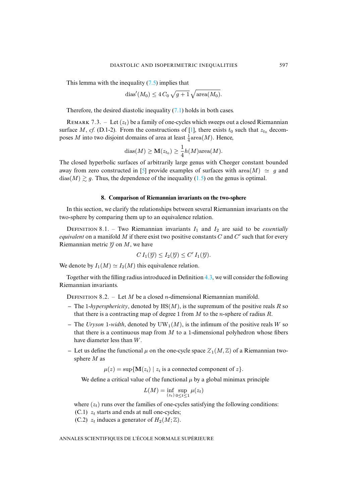This lemma with the inequality  $(7.5)$  implies that

$$
dias'(M_0) \le 4C_0 \sqrt{g+1} \sqrt{\text{area}(M_0)}.
$$

Therefore, the desired diastolic inequality  $(7.1)$  holds in both cases.

<span id="page-19-0"></span>REMARK 7.3. – Let  $(z_t)$  be a family of one-cycles which sweeps out a closed Riemannian surface M, *cf.* (D.1-2). From the constructions of [\[1\]](#page-26-2), there exists  $t_0$  such that  $z_{t_0}$  decomposes M into two disjoint domains of area at least  $\frac{1}{4}$ area $(M)$ . Hence,

$$
_{\mathrm{dias}(M)\geq \mathbf{M}(z_{t_0})\geq \frac{1}{4}h(M)\mathrm{area}(M).
$$

The closed hyperbolic surfaces of arbitrarily large genus with Cheeger constant bounded away from zero constructed in [\[5\]](#page-26-15) provide examples of surfaces with area $(M) \simeq g$  and  $\text{dias}(M) \gtrsim g$ . Thus, the dependence of the inequality [\(1.5\)](#page-3-2) on the genus is optimal.

#### **8. Comparison of Riemannian invariants on the two-sphere**

<span id="page-19-1"></span>In this section, we clarify the relationships between several Riemannian invariants on the two-sphere by comparing them up to an equivalence relation.

DEFINITION 8.1. – Two Riemannian invariants  $I_1$  and  $I_2$  are said to be *essentially equivalent* on a manifold M if there exist two positive constants  $C$  and  $C'$  such that for every Riemannian metric  $\mathcal G$  on  $M$ , we have

$$
C I_1(\mathcal{G}) \leq I_2(\mathcal{G}) \leq C' I_1(\mathcal{G}).
$$

We denote by  $I_1(M) \simeq I_2(M)$  this equivalence relation.

Together with the filling radius introduced in Definition [4.3,](#page-11-1) we will consider the following Riemannian invariants.

<span id="page-19-2"></span>DEFINITION 8.2. – Let M be a closed *n*-dimensional Riemannian manifold.

- **–** The 1*-hypersphericity*, denoted by HS(M), is the supremum of the positive reals R so that there is a contracting map of degree 1 from  $M$  to the *n*-sphere of radius  $R$ .
- The *Uryson* 1*-width*, denoted by  $\text{UW}_1(M)$ , is the infimum of the positive reals W so that there is a continuous map from  $M$  to a 1-dimensional polyhedron whose fibers have diameter less than W.
- Let us define the functional  $\mu$  on the one-cycle space  $\mathcal{Z}_1(M,\mathbb{Z})$  of a Riemannian twosphere M as

 $\mu(z) = \sup \{ \mathbf{M}(z_i) \mid z_i \text{ is a connected component of } z \}.$ 

We define a critical value of the functional  $\mu$  by a global minimax principle

$$
L(M) = \inf_{(z_t)} \sup_{0 \le t \le 1} \mu(z_t)
$$

where  $(z_t)$  runs over the families of one-cycles satisfying the following conditions:

(C.1)  $z_t$  starts and ends at null one-cycles;

(C.2)  $z_t$  induces a generator of  $H_2(M; \mathbb{Z})$ .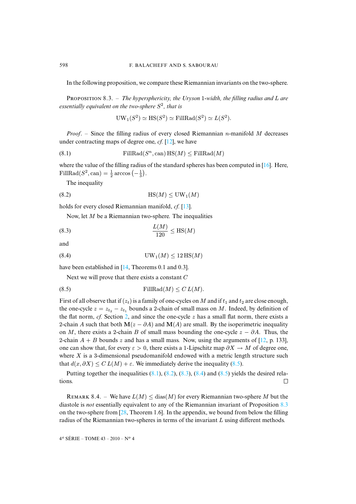<span id="page-20-5"></span>In the following proposition, we compare these Riemannian invariants on the two-sphere.

PROPOSITION 8.3. – *The hypersphericity, the Uryson 1-width, the filling radius and L are essentially equivalent on the two-sphere*  $S^2$ , that is

<span id="page-20-2"></span><span id="page-20-1"></span>
$$
UW_1(S^2) \simeq HS(S^2) \simeq FillRad(S^2) \simeq L(S^2).
$$

*Proof.* – Since the filling radius of every closed Riemannian  $n$ -manifold M decreases under contracting maps of degree one, *cf.* [\[12\]](#page-26-5), we have

(8.1) 
$$
\text{FillRad}(S^n, \text{can}) \text{HS}(M) \leq \text{FillRad}(M)
$$

where the value of the filling radius of the standard spheres has been computed in  $[16]$ . Here, FillRad( $S^2$ , can) =  $\frac{1}{2}$  arccos  $\left(-\frac{1}{3}\right)$ .

The inequality

$$
(8.2) \t\t\t HS(M) \leq UW_1(M)
$$

holds for every closed Riemannian manifold, *cf.* [\[13\]](#page-26-17).

<span id="page-20-3"></span>Now, let M be a Riemannian two-sphere. The inequalities

$$
\frac{L(M)}{120} \le \text{HS}(M)
$$

and

$$
(8.4) \t\t\t\tUW1(M) \le 12 HS(M)
$$

have been established in [\[14,](#page-26-18) Theorems 0.1 and 0.3].

<span id="page-20-4"></span><span id="page-20-0"></span>Next we will prove that there exists a constant  $C$ 

(8.5) 
$$
\text{FillRad}(M) \leq C L(M).
$$

First of all observe that if  $(z_t)$  is a family of one-cycles on M and if  $t_1$  and  $t_2$  are close enough, the one-cycle  $z = z_{t_2} - z_{t_1}$  bounds a 2-chain of small mass on M. Indeed, by definition of the flat norm,  $cf.$  Section [2,](#page-5-0) and since the one-cycle  $z$  has a small flat norm, there exists a 2-chain A such that both  $\mathbf{M}(z - \partial A)$  and  $\mathbf{M}(A)$  are small. By the isoperimetric inequality on M, there exists a 2-chain B of small mass bounding the one-cycle  $z - \partial A$ . Thus, the 2-chain  $A + B$  bounds z and has a small mass. Now, using the arguments of [\[12,](#page-26-5) p. 133], one can show that, for every  $\varepsilon > 0$ , there exists a 1-Lipschitz map  $\partial X \to M$  of degree one, where  $X$  is a 3-dimensional pseudomanifold endowed with a metric length structure such that  $d(x, \partial X) \leq C L(M) + \varepsilon$ . We immediately derive the inequality [\(8.5\)](#page-20-0).

Putting together the inequalities  $(8.1)$ ,  $(8.2)$ ,  $(8.3)$ ,  $(8.4)$  and  $(8.5)$  yields the desired relations.  $\Box$ 

REMARK 8.4. – We have  $L(M) \leq$  dias(M) for every Riemannian two-sphere M but the diastole is *not* essentially equivalent to any of the Riemannian invariant of Proposition [8.3](#page-20-5) on the two-sphere from  $[28,$  Theorem 1.6. In the appendix, we bound from below the filling radius of the Riemannian two-spheres in terms of the invariant L using different methods.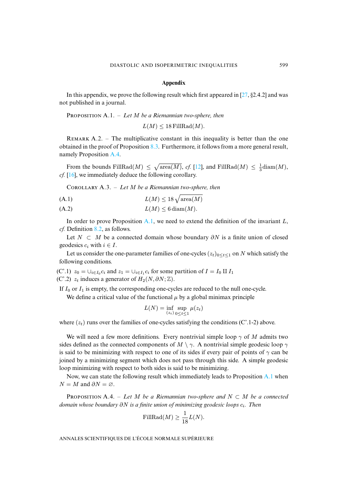#### **Appendix**

In this appendix, we prove the following result which first appeared in [\[27,](#page-27-11)  $\S 2.4.2$ ] and was not published in a journal.

<span id="page-21-1"></span>PROPOSITION A.1. – Let M be a Riemannian two-sphere, then

 $L(M) \leq 18$  FillRad $(M)$ .

REMARK  $A.2.$  – The multiplicative constant in this inequality is better than the one obtained in the proof of Proposition [8.3.](#page-20-5) Furthermore, it follows from a more general result, namely Proposition [A.4.](#page-21-0)

From the bounds FillRad $(M) \leq \sqrt{\text{area}(M)}$ , *cf.* [\[12\]](#page-26-5), and FillRad $(M) \leq \frac{1}{3}$ diam $(M)$ , *cf.* [\[16\]](#page-26-16), we immediately deduce the following corollary.

Cʀʟʟʀʏ A.3. – *Let* M *be a Riemannian two-sphere, then*

$$
(A.1)\qquad \qquad L(M) \le 18\sqrt{\text{area}(M)}
$$

(A.2)  $L(M) \leq 6 \operatorname{diam}(M)$ .

In order to prove Proposition [A.1,](#page-21-1) we need to extend the definition of the invariant  $L$ , *cf.* Definition [8.2,](#page-19-2) as follows.

Let  $N \subset M$  be a connected domain whose boundary  $\partial N$  is a finite union of closed geodesics  $c_i$  with  $i \in I$ .

Let us consider the one-parameter families of one-cycles  $(z_t)_{0 \le t \le 1}$  on N which satisfy the following conditions.

(C'.1)  $z_0 = \bigcup_{i \in I_0} c_i$  and  $z_1 = \bigcup_{i \in I_1} c_i$  for some partition of  $I = I_0 \amalg I_1$ (C'.2)  $z_t$  induces a generator of  $H_2(N, \partial N; \mathbb{Z})$ .

If  $I_0$  or  $I_1$  is empty, the corresponding one-cycles are reduced to the null one-cycle. We define a critical value of the functional  $\mu$  by a global minimax principle

$$
L(N) = \inf_{(z_t)} \sup_{0 \le t \le 1} \mu(z_t)
$$

where  $(z_t)$  runs over the families of one-cycles satisfying the conditions (C'.1-2) above.

We will need a few more definitions. Every nontrivial simple loop  $\gamma$  of M admits two sides defined as the connected components of  $M \setminus \gamma$ . A nontrivial simple geodesic loop  $\gamma$ is said to be minimizing with respect to one of its sides if every pair of points of  $\gamma$  can be joined by a minimizing segment which does not pass through this side. A simple geodesic loop minimizing with respect to both sides is said to be minimizing.

Now, we can state the following result which immediately leads to Proposition [A.1](#page-21-1) when  $N = M$  and  $\partial N = \emptyset$ .

<span id="page-21-0"></span>**PROPOSITION** A.4. – Let M be a Riemannian two-sphere and  $N \subset M$  be a connected *domain whose boundary* ∂N *is a finite union of minimizing geodesic loops* ci*. Then*

$$
\text{FillRad}(M) \ge \frac{1}{18}L(N).
$$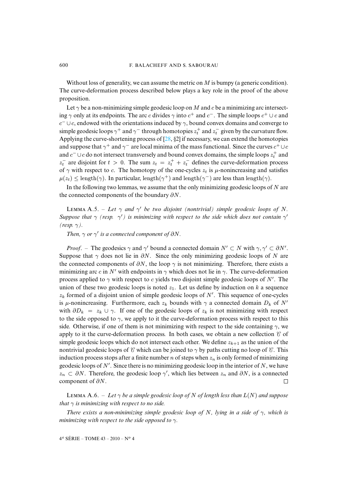Without loss of generality, we can assume the metric on  $M$  is bumpy (a generic condition). The curve-deformation process described below plays a key role in the proof of the above proposition.

Let  $\gamma$  be a non-minimizing simple geodesic loop on M and c be a minimizing arc intersecting  $\gamma$  only at its endpoints. The arc c divides  $\gamma$  into c<sup>+</sup> and c<sup>−</sup>. The simple loops c<sup>+</sup> ∪ c and  $c^- \cup c$ , endowed with the orientations induced by  $\gamma$ , bound convex domains and converge to simple geodesic loops  $\gamma^+$  and  $\gamma^-$  through homotopies  $z_t^+$  and  $z_t^-$  given by the curvature flow. Applying the curve-shortening process of [\[28,](#page-27-1) §2] if necessary, we can extend the homotopies and suppose that  $\gamma^+$  and  $\gamma^-$  are local minima of the mass functional. Since the curves  $c^+ \cup c$ and  $c^- \cup c$  do not intersect transversely and bound convex domains, the simple loops  $z_t^+$  and  $z_t^-$  are disjoint for  $t > 0$ . The sum  $z_t = z_t^+ + z_t^-$  defines the curve-deformation process of  $\gamma$  with respect to c. The homotopy of the one-cycles  $z_t$  is  $\mu$ -nonincreasing and satisfies  $\mu(z_t) \leq$  length( $\gamma$ ). In particular, length( $\gamma^+$ ) and length( $\gamma^-$ ) are less than length( $\gamma$ ).

In the following two lemmas, we assume that the only minimizing geodesic loops of  $N$  are the connected components of the boundary  $\partial N$ .

<span id="page-22-0"></span>**LEMMA** A.5. – Let  $\gamma$  and  $\gamma'$  be two disjoint (nontrivial) simple geodesic loops of N. *Suppose that*  $\gamma$  *(resp.*  $\gamma'$ ) is minimizing with respect to the side which does not contain  $\gamma'$ *(resp.* γ*).*

*Then,*  $\gamma$  *or*  $\gamma'$  *is a connected component of*  $\partial N$ *.* 

*Proof.* – The geodesics  $\gamma$  and  $\gamma'$  bound a connected domain  $N' \subset N$  with  $\gamma, \gamma' \subset \partial N'$ . Suppose that  $\gamma$  does not lie in  $\partial N$ . Since the only minimizing geodesic loops of N are the connected components of  $\partial N$ , the loop  $\gamma$  is not minimizing. Therefore, there exists a minimizing arc c in N' with endpoints in  $\gamma$  which does not lie in  $\gamma$ . The curve-deformation process applied to  $\gamma$  with respect to c yields two disjoint simple geodesic loops of N'. The union of these two geodesic loops is noted  $z_1$ . Let us define by induction on k a sequence  $z_k$  formed of a disjoint union of simple geodesic loops of  $N'$ . This sequence of one-cycles is  $\mu$ -nonincreasing. Furthermore, each  $z_k$  bounds with  $\gamma$  a connected domain  $D_k$  of N' with  $\partial D_k = z_k \cup \gamma$ . If one of the geodesic loops of  $z_k$  is not minimizing with respect to the side opposed to  $\gamma$ , we apply to it the curve-deformation process with respect to this side. Otherwise, if one of them is not minimizing with respect to the side containing  $\gamma$ , we apply to it the curve-deformation process. In both cases, we obtain a new collection  $\mathcal C$  of simple geodesic loops which do not intersect each other. We define  $z_{k+1}$  as the union of the nontrivial geodesic loops of  $C$  which can be joined to  $\gamma$  by paths cutting no loop of  $C$ . This induction process stops after a finite number n of steps when  $z_n$  is only formed of minimizing geodesic loops of  $N'$ . Since there is no minimizing geodesic loop in the interior of  $N$ , we have  $z_n \subset \partial N$ . Therefore, the geodesic loop  $\gamma'$ , which lies between  $z_n$  and  $\partial N$ , is a connected component of  $\partial N$ .  $\Box$ 

<span id="page-22-1"></span>**LEMMA** A.6. – Let  $\gamma$  be a simple geodesic loop of N of length less than  $L(N)$  and suppose *that*  $\gamma$  *is minimizing with respect to no side.* 

*There exists a non-minimizing simple geodesic loop of* N*, lying in a side of* γ*, which is minimizing with respect to the side opposed to* γ*.*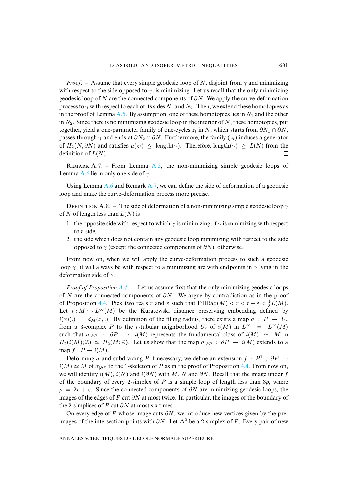*Proof.* – Assume that every simple geodesic loop of N, disjoint from  $\gamma$  and minimizing with respect to the side opposed to  $\gamma$ , is minimizing. Let us recall that the only minimizing geodesic loop of N are the connected components of  $\partial N$ . We apply the curve-deformation process to  $\gamma$  with respect to each of its sides  $N_1$  and  $N_2$ . Then, we extend these homotopies as in the proof of Lemma [A.5.](#page-22-0) By assumption, one of these homotopies lies in  $N_1$  and the other in  $N_2$ . Since there is no minimizing geodesic loop in the interior of N, these homotopies, put together, yield a one-parameter family of one-cycles  $z_t$  in N, which starts from  $\partial N_1 \cap \partial N$ , passes through  $\gamma$  and ends at  $\partial N_2 \cap \partial N$ . Furthermore, the family ( $z_t$ ) induces a generator of  $H_2(N, \partial N)$  and satisfies  $\mu(z_t) \leq \text{length}(\gamma)$ . Therefore, length( $\gamma$ ) ≥  $L(N)$  from the definition of  $L(N)$ . definition of  $L(N)$ .

<span id="page-23-0"></span>REMARK A.7. – From Lemma [A.5,](#page-22-0) the non-minimizing simple geodesic loops of Lemma [A.6](#page-22-1) lie in only one side of  $\gamma$ .

Using Lemma  $A_0$  and Remark  $A_0$ , we can define the side of deformation of a geodesic loop and make the curve-deformation process more precise.

DEFINITION A.8. – The side of deformation of a non-minimizing simple geodesic loop  $\gamma$ of N of length less than  $L(N)$  is

- 1. the opposite side with respect to which  $\gamma$  is minimizing, if  $\gamma$  is minimizing with respect to a side,
- 2. the side which does not contain any geodesic loop minimizing with respect to the side opposed to  $\gamma$  (except the connected components of  $\partial N$ ), otherwise.

From now on, when we will apply the curve-deformation process to such a geodesic loop  $\gamma$ , it will always be with respect to a minimizing arc with endpoints in  $\gamma$  lying in the deformation side of  $\gamma$ .

*Proof of Proposition [A.4](#page-21-0)*. – Let us assume first that the only minimizing geodesic loops of N are the connected components of  $\partial N$ . We argue by contradiction as in the proof of Proposition [4.4.](#page-11-0) Pick two reals r and  $\varepsilon$  such that  $\text{FillRad}(M) < r < r + \varepsilon < \frac{1}{8}L(M)$ . Let  $i : M \hookrightarrow L^{\infty}(M)$  be the Kuratowski distance preserving embedding defined by  $i(x)(.) = d<sub>M</sub>(x,.)$ . By definition of the filling radius, there exists a map  $\sigma : P \to U_r$ from a 3-complex P to the r-tubular neighborhood  $U_r$  of  $i(M)$  in  $L^{\infty} = L^{\infty}(M)$ such that  $\sigma_{|\partial P}$  :  $\partial P \to i(M)$  represents the fundamental class of  $i(M) \simeq M$  in  $H_2(i(M); \mathbb{Z}) \simeq H_2(M; \mathbb{Z})$ . Let us show that the map  $\sigma_{\vert \partial P} : \partial P \to i(M)$  extends to a map  $f : P \to i(M)$ .

Deforming  $\sigma$  and subdividing P if necessary, we define an extension  $f : P^1 \cup \partial P \rightarrow$  $i(M) \simeq M$  of  $\sigma_{\vert \partial P}$  to the 1-skeleton of P as in the proof of Proposition [4.4.](#page-11-0) From now on, we will identify  $i(M)$ ,  $i(N)$  and  $i(\partial N)$  with M, N and  $\partial N$ . Recall that the image under f of the boundary of every 2-simplex of  $P$  is a simple loop of length less than  $3\rho$ , where  $\rho = 2r + \varepsilon$ . Since the connected components of  $\partial N$  are minimizing geodesic loops, the images of the edges of P cut  $\partial N$  at most twice. In particular, the images of the boundary of the 2-simplices of P cut  $\partial N$  at most six times.

On every edge of P whose image cuts  $\partial N$ , we introduce new vertices given by the preimages of the intersection points with  $\partial N$ . Let  $\Delta^2$  be a 2-simplex of P. Every pair of new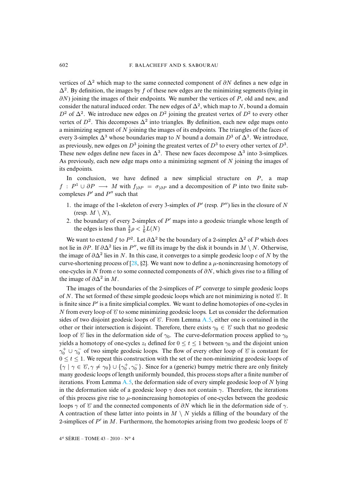vertices of  $\Delta^2$  which map to the same connected component of  $\partial N$  defines a new edge in  $\Delta^2$ . By definition, the images by f of these new edges are the minimizing segments (lying in  $\partial N$ ) joining the images of their endpoints. We number the vertices of P, old and new, and consider the natural induced order. The new edges of  $\Delta^2$ , which map to N, bound a domain  $D^2$  of  $\Delta^2$ . We introduce new edges on  $D^2$  joining the greatest vertex of  $D^2$  to every other vertex of  $D^2$ . This decomposes  $\Delta^2$  into triangles. By definition, each new edge maps onto a minimizing segment of  $N$  joining the images of its endpoints. The triangles of the faces of every 3-simplex  $\Delta^3$  whose boundaries map to N bound a domain  $D^3$  of  $\Delta^3$ . We introduce, as previously, new edges on  $D^3$  joining the greatest vertex of  $D^3$  to every other vertex of  $D^3$ . These new edges define new faces in  $\Delta^3$ . These new faces decompose  $\Delta^3$  into 3-simplices. As previously, each new edge maps onto a minimizing segment of  $N$  joining the images of its endpoints.

In conclusion, we have defined a new simplicial structure on  $P$ , a map  $f : P^1 \cup \partial P \longrightarrow M$  with  $f_{|\partial P} = \sigma_{|\partial P}$  and a decomposition of P into two finite subcomplexes  $P'$  and  $P''$  such that

- 1. the image of the 1-skeleton of every 3-simplex of  $P'$  (resp.  $P''$ ) lies in the closure of N (resp.  $M \setminus N$ ),
- 2. the boundary of every 2-simplex of  $P'$  maps into a geodesic triangle whose length of the edges is less than  $\frac{3}{2}\rho < \frac{1}{6}L(N)$

We want to extend f to  $P^2$ . Let  $\partial \Delta^2$  be the boundary of a 2-simplex  $\Delta^2$  of P which does not lie in  $\partial P$ . If  $\partial \Delta^2$  lies in P'', we fill its image by the disk it bounds in M \ N. Otherwise, the image of  $\partial \Delta^2$  lies in N. In this case, it converges to a simple geodesic loop c of N by the curve-shortening process of [\[28,](#page-27-1) §2]. We want now to define a  $\mu$ -nonincreasing homotopy of one-cycles in N from c to some connected components of  $\partial N$ , which gives rise to a filling of the image of  $\partial \Delta^2$  in M.

The images of the boundaries of the 2-simplices of  $P'$  converge to simple geodesic loops of N. The set formed of these simple geodesic loops which are not minimizing is noted  $\mathcal C$ . It is finite since  $P'$  is a finite simplicial complex. We want to define homotopies of one-cycles in N from every loop of  $\mathcal C$  to some minimizing geodesic loops. Let us consider the deformation sides of two disjoint geodesic loops of  $\mathcal C$ . From Lemma [A.5,](#page-22-0) either one is contained in the other or their intersection is disjoint. Therefore, there exists  $\gamma_0 \in \mathcal{C}$  such that no geodesic loop of C lies in the deformation side of  $\gamma_0$ . The curve-deformation process applied to  $\gamma_0$ yields a homotopy of one-cycles  $z_t$  defined for  $0 \le t \le 1$  between  $\gamma_0$  and the disjoint union  $\gamma_0^+ \cup \gamma_0^-$  of two simple geodesic loops. The flow of every other loop of  $\mathcal C$  is constant for  $0 \le t \le 1$ . We repeat this construction with the set of the non-minimizing geodesic loops of  $\{\gamma \mid \gamma \in \mathcal{C}, \gamma \neq \gamma_0\} \cup \{\gamma_0^+, \gamma_0^-\}$ . Since for a (generic) bumpy metric there are only finitely many geodesic loops of length uniformly bounded, this process stops after a finite number of iterations. From Lemma  $A_0$ , the deformation side of every simple geodesic loop of N lying in the deformation side of a geodesic loop  $\gamma$  does not contain  $\gamma$ . Therefore, the iterations of this process give rise to  $\mu$ -nonincreasing homotopies of one-cycles between the geodesic loops  $\gamma$  of  $\mathcal C$  and the connected components of  $\partial N$  which lie in the deformation side of  $\gamma$ . A contraction of these latter into points in  $M \setminus N$  yields a filling of the boundary of the 2-simplices of P' in M. Furthermore, the homotopies arising from two geodesic loops of  $\mathcal C$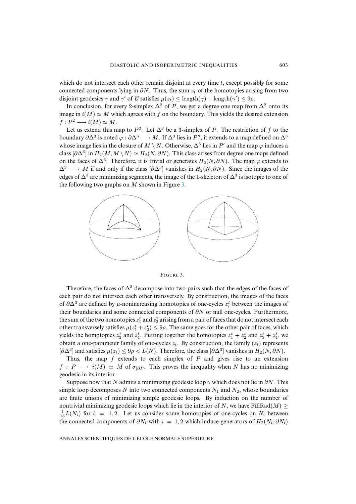which do not intersect each other remain disjoint at every time t, except possibly for some connected components lying in  $\partial N$ . Thus, the sum  $z_t$  of the homotopies arising from two disjoint geodesics  $\gamma$  and  $\gamma'$  of C satisfies  $\mu(z_t) \leq \text{length}(\gamma) + \text{length}(\gamma') \leq 9\rho$ .

In conclusion, for every 2-simplex  $\Delta^2$  of P, we get a degree one map from  $\Delta^2$  onto its image in  $i(M) \simeq M$  which agrees with f on the boundary. This yields the desired extension  $f : P^2 \longrightarrow i(M) \simeq M$ .

Let us extend this map to  $P^3$ . Let  $\Delta^3$  be a 3-simplex of P. The restriction of f to the boundary  $\partial \Delta^3$  is noted  $\varphi : \partial \Delta^3 \longrightarrow M$ . If  $\Delta^3$  lies in P'', it extends to a map defined on  $\Delta^3$ whose image lies in the closure of  $M \setminus N$ . Otherwise,  $\Delta^3$  lies in P' and the map  $\varphi$  induces a class  $[\partial \Delta^3]$  in  $H_2(M, M \setminus N) \simeq H_2(N, \partial N)$ . This class arises from degree one maps defined on the faces of  $\Delta^3$ . Therefore, it is trivial or generates  $H_2(N, \partial N)$ . The map  $\varphi$  extends to  $\Delta^3 \longrightarrow M$  if and only if the class  $[\partial \Delta^3]$  vanishes in  $H_2(N, \partial N)$ . Since the images of the edges of  $\Delta^3$  are minimizing segments, the image of the 1-skeleton of  $\Delta^3$  is isotopic to one of the following two graphs on  $M$  shown in Figure [3.](#page-25-0)



<span id="page-25-0"></span>FIGURE 3.

Therefore, the faces of  $\Delta^3$  decompose into two pairs such that the edges of the faces of each pair do not intersect each other transversely. By construction, the images of the faces of  $\partial \Delta^3$  are defined by  $\mu$ -nonincreasing homotopies of one-cycles  $z_i^t$  between the images of their boundaries and some connected components of  $\partial N$  or null one-cycles. Furthermore, the sum of the two homotopies  $z_1^t$  and  $z_2^t$  arising from a pair of faces that do not intersect each other transversely satisfies  $\mu(z_1^t + z_2^t) \le 9\rho$ . The same goes for the other pair of faces, which yields the homotopies  $z_3^t$  and  $z_4^t$ . Putting together the homotopies  $z_1^t + z_2^t$  and  $z_3^t + z_4^t$ , we obtain a one-parameter family of one-cycles  $z_t$ . By construction, the family  $(z_t)$  represents  $[\partial \Delta^3]$  and satisfies  $\mu(z_t) \leq 9\rho < L(N)$ . Therefore, the class  $[\partial \Delta^3]$  vanishes in  $H_2(N, \partial N)$ .

Thus, the map  $f$  extends to each simplex of  $P$  and gives rise to an extension  $f: P \longrightarrow i(M) \simeq M$  of  $\sigma_{|\partial P}$ . This proves the inequality when N has no minimizing geodesic in its interior.

Suppose now that N admits a minimizing geodesic loop  $\gamma$  which does not lie in  $\partial N$ . This simple loop decomposes N into two connected components  $N_1$  and  $N_2$ , whose boundaries are finite unions of minimizing simple geodesic loops. By induction on the number of nontrivial minimizing geodesic loops which lie in the interior of N, we have FillRad(M)  $\ge$  $\frac{1}{18}L(N_i)$  for  $i = 1, 2$ . Let us consider some homotopies of one-cycles on  $N_i$  between the connected components of  $\partial N_i$  with  $i = 1, 2$  which induce generators of  $H_2(N_i, \partial N_i)$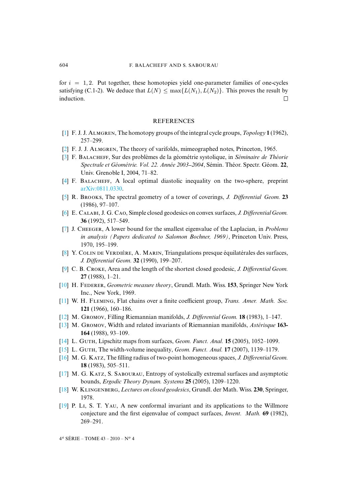for  $i = 1, 2$ . Put together, these homotopies yield one-parameter families of one-cycles satisfying (C.1-2). We deduce that  $L(N) \le \max\{L(N_1), L(N_2)\}\)$ . This proves the result by induction. induction.

# REFERENCES

- <span id="page-26-2"></span>[\[1\]](http://smf.emath.fr/Publications/AnnalesENS/4_43/html/ens_ann-sc_43_4.html#1) F. J. J. Aʟɢʀɴ, The homotopy groups of the integral cycle groups, *Topology* **1** (1962), 257–299.
- <span id="page-26-8"></span>[\[2\]](http://smf.emath.fr/Publications/AnnalesENS/4_43/html/ens_ann-sc_43_4.html#2) F. J. J. ALMGREN, The theory of varifolds, mimeographed notes, Princeton, 1965.
- <span id="page-26-6"></span>[\[3\]](http://smf.emath.fr/Publications/AnnalesENS/4_43/html/ens_ann-sc_43_4.html#3) F. Bʟʜ, Sur des problèmes de la géométrie systolique, in *Séminaire de Théorie Spectrale et Géométrie. Vol. 22. Année 2003 2004*, Sémin. Théor. Spectr. Géom. **22**, Univ. Grenoble I, 2004, 71–82.
- <span id="page-26-4"></span>[\[4\]](http://smf.emath.fr/Publications/AnnalesENS/4_43/html/ens_ann-sc_43_4.html#4) F. Bʟʜ, A local optimal diastolic inequality on the two-sphere, preprint [arXiv:0811.0330.](http://arxiv.org/abs/0811.0330)
- <span id="page-26-15"></span>[\[5\]](http://smf.emath.fr/Publications/AnnalesENS/4_43/html/ens_ann-sc_43_4.html#5) R. Bʀ, The spectral geometry of a tower of coverings, *J. Differential Geom.* **23** (1986), 97–107.
- <span id="page-26-3"></span>[\[6\]](http://smf.emath.fr/Publications/AnnalesENS/4_43/html/ens_ann-sc_43_4.html#6) E. CALABI, J. G. CAO, Simple closed geodesics on convex surfaces, *J. Differential Geom.* **36** (1992), 517–549.
- <span id="page-26-13"></span>[\[7\]](http://smf.emath.fr/Publications/AnnalesENS/4_43/html/ens_ann-sc_43_4.html#7) J. Cʜɢʀ, A lower bound for the smallest eigenvalue of the Laplacian, in *Problems in analysis (Papers dedicated to Salomon Bochner, 1969)*, Princeton Univ. Press, 1970, 195–199.
- <span id="page-26-12"></span>[\[8\]](http://smf.emath.fr/Publications/AnnalesENS/4_43/html/ens_ann-sc_43_4.html#8) Y. COLIN DE VERDIÈRE, A. MARIN, Triangulations presque équilatérales des surfaces, *J. Differential Geom.* **32** (1990), 199–207.
- <span id="page-26-1"></span>[\[9\]](http://smf.emath.fr/Publications/AnnalesENS/4_43/html/ens_ann-sc_43_4.html#9) C. B. Cʀ, Area and the length of the shortest closed geodesic, *J. Differential Geom.* **27** (1988), 1–21.
- <span id="page-26-11"></span>[\[10\]](http://smf.emath.fr/Publications/AnnalesENS/4_43/html/ens_ann-sc_43_4.html#10) H. Fʀʀ, *Geometric measure theory*, Grundl. Math. Wiss. **153**, Springer New York Inc., New York, 1969.
- <span id="page-26-10"></span>[\[11\]](http://smf.emath.fr/Publications/AnnalesENS/4_43/html/ens_ann-sc_43_4.html#11) W. H. Fʟɪɴɢ, Flat chains over a finite coefficient group, *Trans. Amer. Math. Soc.* **121** (1966), 160–186.
- <span id="page-26-5"></span>[\[12\]](http://smf.emath.fr/Publications/AnnalesENS/4_43/html/ens_ann-sc_43_4.html#12) M. Gʀ, Filling Riemannian manifolds, *J. Differential Geom.* **18** (1983), 1–147.
- <span id="page-26-17"></span>[\[13\]](http://smf.emath.fr/Publications/AnnalesENS/4_43/html/ens_ann-sc_43_4.html#13) M. Gʀ, Width and related invariants of Riemannian manifolds, *Astérisque* **163- 164** (1988), 93–109.
- <span id="page-26-18"></span>[\[14\]](http://smf.emath.fr/Publications/AnnalesENS/4_43/html/ens_ann-sc_43_4.html#14) L. Gʜ, Lipschitz maps from surfaces, *Geom. Funct. Anal.* **15** (2005), 1052–1099.
- <span id="page-26-9"></span>[\[15\]](http://smf.emath.fr/Publications/AnnalesENS/4_43/html/ens_ann-sc_43_4.html#15) L. Gʜ, The width-volume inequality, *Geom. Funct. Anal.* **17** (2007), 1139–1179.
- <span id="page-26-16"></span>[\[16\]](http://smf.emath.fr/Publications/AnnalesENS/4_43/html/ens_ann-sc_43_4.html#16) M. G. K, The filling radius of two-point homogeneous spaces, *J. Differential Geom.* **18** (1983), 505–511.
- <span id="page-26-7"></span> $[17]$  M. G. KATZ, S. SABOURAU, Entropy of systolically extremal surfaces and asymptotic bounds, *Ergodic Theory Dynam. Systems* **25** (2005), 1209–1220.
- <span id="page-26-0"></span>[\[18\]](http://smf.emath.fr/Publications/AnnalesENS/4_43/html/ens_ann-sc_43_4.html#18) W. Kʟɪɴɢɴʙʀɢ, *Lectures on closed geodesics*, Grundl. der Math. Wiss. **230**, Springer, 1978.
- <span id="page-26-14"></span>[\[19\]](http://smf.emath.fr/Publications/AnnalesENS/4_43/html/ens_ann-sc_43_4.html#19) P. Lɪ, S. T. Y, A new conformal invariant and its applications to the Willmore conjecture and the first eigenvalue of compact surfaces, *Invent. Math.* **69** (1982), 269–291.